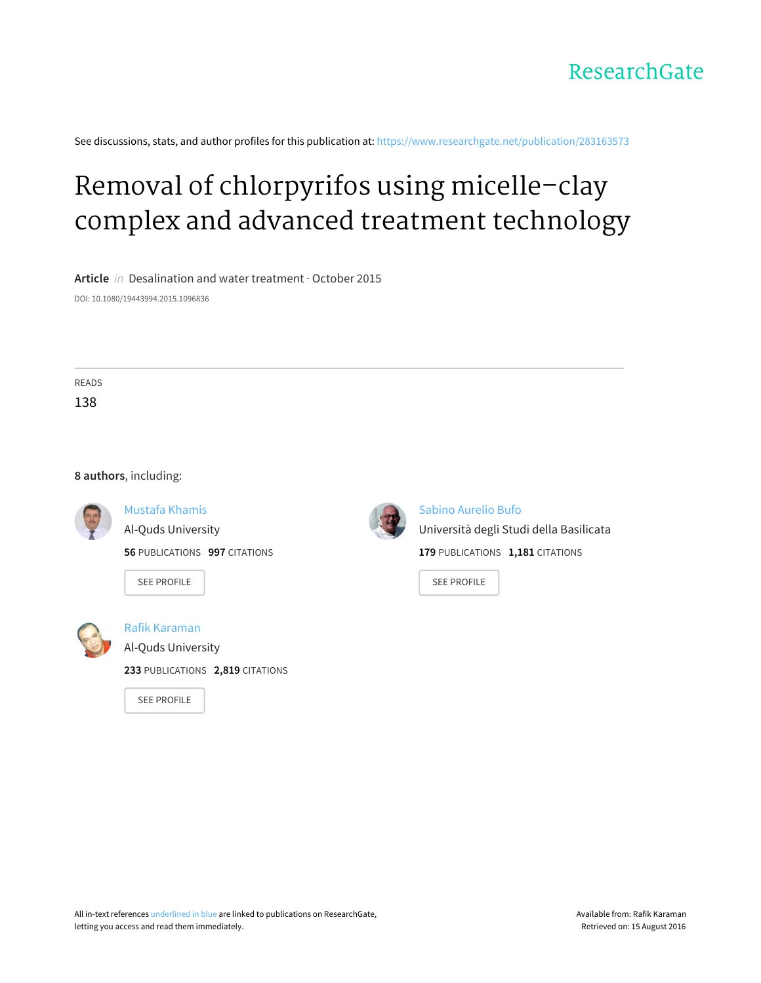

See discussions, stats, and author profiles for this publication at: [https://www.researchgate.net/publication/283163573](https://www.researchgate.net/publication/283163573_Removal_of_chlorpyrifos_using_micelle-clay_complex_and_advanced_treatment_technology?enrichId=rgreq-f6b5a74858dd4000c4d90479b77a495f-XXX&enrichSource=Y292ZXJQYWdlOzI4MzE2MzU3MztBUzoyODkyMTMwMjgyOTA1NjJAMTQ0NTk2NTE2NzgzOA%3D%3D&el=1_x_2)

# Removal of chlorpyrifos using [micelle–clay](https://www.researchgate.net/publication/283163573_Removal_of_chlorpyrifos_using_micelle-clay_complex_and_advanced_treatment_technology?enrichId=rgreq-f6b5a74858dd4000c4d90479b77a495f-XXX&enrichSource=Y292ZXJQYWdlOzI4MzE2MzU3MztBUzoyODkyMTMwMjgyOTA1NjJAMTQ0NTk2NTE2NzgzOA%3D%3D&el=1_x_3) complex and advanced treatment technology

**Article** in Desalination and water treatment · October 2015 DOI: 10.1080/19443994.2015.1096836

READS 138

#### **8 authors**, including:



[Mustafa](https://www.researchgate.net/profile/Mustafa_Khamis?enrichId=rgreq-f6b5a74858dd4000c4d90479b77a495f-XXX&enrichSource=Y292ZXJQYWdlOzI4MzE2MzU3MztBUzoyODkyMTMwMjgyOTA1NjJAMTQ0NTk2NTE2NzgzOA%3D%3D&el=1_x_5) Khamis Al-Quds [University](https://www.researchgate.net/institution/Al-Quds_University?enrichId=rgreq-f6b5a74858dd4000c4d90479b77a495f-XXX&enrichSource=Y292ZXJQYWdlOzI4MzE2MzU3MztBUzoyODkyMTMwMjgyOTA1NjJAMTQ0NTk2NTE2NzgzOA%3D%3D&el=1_x_6)

**56** PUBLICATIONS **997** CITATIONS

SEE [PROFILE](https://www.researchgate.net/profile/Mustafa_Khamis?enrichId=rgreq-f6b5a74858dd4000c4d90479b77a495f-XXX&enrichSource=Y292ZXJQYWdlOzI4MzE2MzU3MztBUzoyODkyMTMwMjgyOTA1NjJAMTQ0NTk2NTE2NzgzOA%3D%3D&el=1_x_7)



Rafik [Karaman](https://www.researchgate.net/profile/Rafik_Karaman?enrichId=rgreq-f6b5a74858dd4000c4d90479b77a495f-XXX&enrichSource=Y292ZXJQYWdlOzI4MzE2MzU3MztBUzoyODkyMTMwMjgyOTA1NjJAMTQ0NTk2NTE2NzgzOA%3D%3D&el=1_x_5) Al-Quds [University](https://www.researchgate.net/institution/Al-Quds_University?enrichId=rgreq-f6b5a74858dd4000c4d90479b77a495f-XXX&enrichSource=Y292ZXJQYWdlOzI4MzE2MzU3MztBUzoyODkyMTMwMjgyOTA1NjJAMTQ0NTk2NTE2NzgzOA%3D%3D&el=1_x_6)

**233** PUBLICATIONS **2,819** CITATIONS

SEE [PROFILE](https://www.researchgate.net/profile/Rafik_Karaman?enrichId=rgreq-f6b5a74858dd4000c4d90479b77a495f-XXX&enrichSource=Y292ZXJQYWdlOzI4MzE2MzU3MztBUzoyODkyMTMwMjgyOTA1NjJAMTQ0NTk2NTE2NzgzOA%3D%3D&el=1_x_7)



Sabino [Aurelio](https://www.researchgate.net/profile/Sabino_Bufo?enrichId=rgreq-f6b5a74858dd4000c4d90479b77a495f-XXX&enrichSource=Y292ZXJQYWdlOzI4MzE2MzU3MztBUzoyODkyMTMwMjgyOTA1NjJAMTQ0NTk2NTE2NzgzOA%3D%3D&el=1_x_5) Bufo [Università](https://www.researchgate.net/institution/Universita_degli_Studi_della_Basilicata?enrichId=rgreq-f6b5a74858dd4000c4d90479b77a495f-XXX&enrichSource=Y292ZXJQYWdlOzI4MzE2MzU3MztBUzoyODkyMTMwMjgyOTA1NjJAMTQ0NTk2NTE2NzgzOA%3D%3D&el=1_x_6) degli Studi della Basilicata **179** PUBLICATIONS **1,181** CITATIONS

SEE [PROFILE](https://www.researchgate.net/profile/Sabino_Bufo?enrichId=rgreq-f6b5a74858dd4000c4d90479b77a495f-XXX&enrichSource=Y292ZXJQYWdlOzI4MzE2MzU3MztBUzoyODkyMTMwMjgyOTA1NjJAMTQ0NTk2NTE2NzgzOA%3D%3D&el=1_x_7)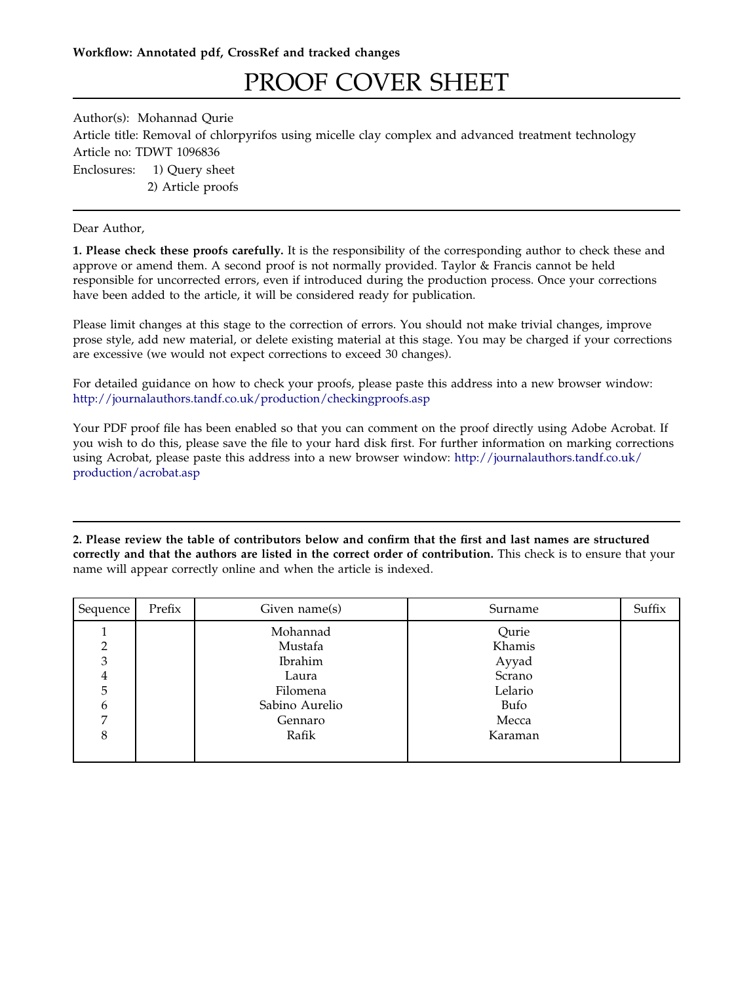## PROOF COVER SHEET

Author(s): Mohannad Qurie Article title: Removal of chlorpyrifos using micelle clay complex and advanced treatment technology Article no: TDWT 1096836 Enclosures: 1) Query sheet 2) Article proofs

Dear Author,

1. Please check these proofs carefully. It is the responsibility of the corresponding author to check these and approve or amend them. A second proof is not normally provided. Taylor & Francis cannot be held responsible for uncorrected errors, even if introduced during the production process. Once your corrections have been added to the article, it will be considered ready for publication.

Please limit changes at this stage to the correction of errors. You should not make trivial changes, improve prose style, add new material, or delete existing material at this stage. You may be charged if your corrections are excessive (we would not expect corrections to exceed 30 changes).

For detailed guidance on how to check your proofs, please paste this address into a new browser window: <http://journalauthors.tandf.co.uk/production/checkingproofs.asp>

Your PDF proof file has been enabled so that you can comment on the proof directly using Adobe Acrobat. If you wish to do this, please save the file to your hard disk first. For further information on marking corrections using Acrobat, please paste this address into a new browser window: [http://journalauthors.tandf.co.uk/](http://journalauthors.tandf.co.uk/production/acrobat.asp) [production/acrobat.asp](http://journalauthors.tandf.co.uk/production/acrobat.asp)

2. Please review the table of contributors below and confirm that the first and last names are structured correctly and that the authors are listed in the correct order of contribution. This check is to ensure that your name will appear correctly online and when the article is indexed.

| Sequence | Prefix | Given name(s)  | Surname | Suffix |
|----------|--------|----------------|---------|--------|
|          |        | Mohannad       | Qurie   |        |
|          |        | Mustafa        | Khamis  |        |
| 3        |        | <b>Ibrahim</b> | Ayyad   |        |
| 4        |        | Laura          | Scrano  |        |
| 5        |        | Filomena       | Lelario |        |
| b        |        | Sabino Aurelio | Bufo    |        |
|          |        | Gennaro        | Mecca   |        |
| 8        |        | Rafik          | Karaman |        |
|          |        |                |         |        |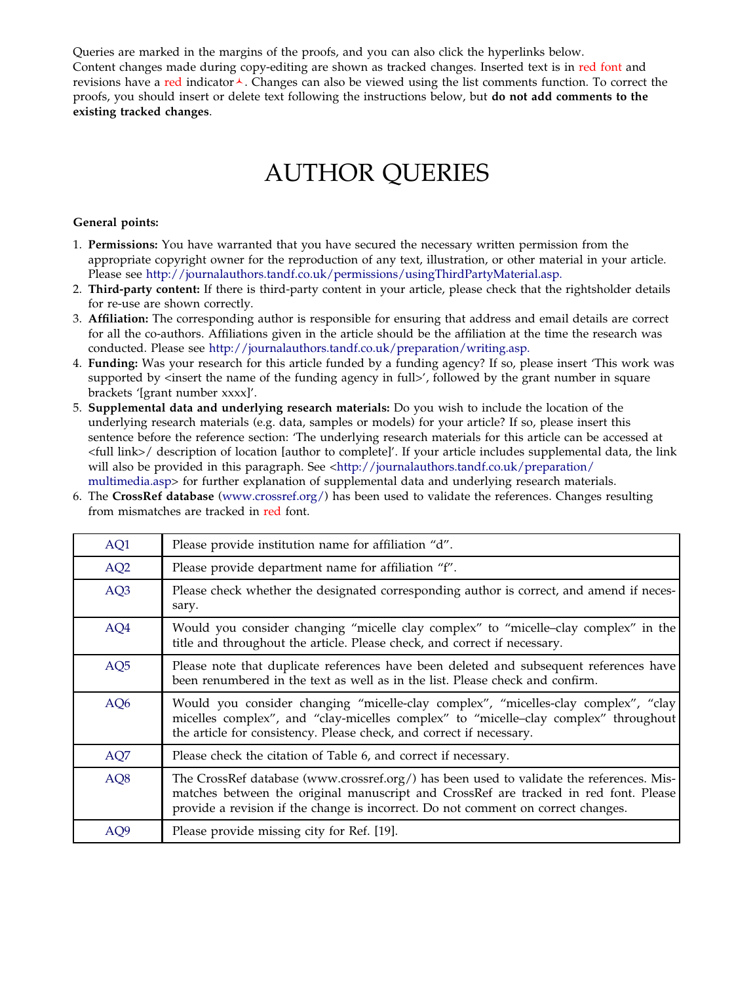Queries are marked in the margins of the proofs, and you can also click the hyperlinks below. Content changes made during copy-editing are shown as tracked changes. Inserted text is in red font and revisions have a red indicator $\lambda$ . Changes can also be viewed using the list comments function. To correct the proofs, you should insert or delete text following the instructions below, but do not add comments to the existing tracked changes.

## AUTHOR QUERIES

#### General points:

- 1. Permissions: You have warranted that you have secured the necessary written permission from the appropriate copyright owner for the reproduction of any text, illustration, or other material in your article. Please see [http://journalauthors.tandf.co.uk/permissions/usingThirdPartyMaterial.asp.](http://journalauthors.tandf.co.uk/permissions/usingThirdPartyMaterial.asp)
- 2. Third-party content: If there is third-party content in your article, please check that the rightsholder details for re-use are shown correctly.
- 3. Affiliation: The corresponding author is responsible for ensuring that address and email details are correct for all the co-authors. Affiliations given in the article should be the affiliation at the time the research was conducted. Please see [http://journalauthors.tandf.co.uk/preparation/writing.asp.](http://journalauthors.tandf.co.uk/preparation/writing.asp)
- 4. Funding: Was your research for this article funded by a funding agency? If so, please insert 'This work was supported by  $\leq$  insert the name of the funding agency in full>', followed by the grant number in square brackets '[grant number xxxx]'.
- 5. Supplemental data and underlying research materials: Do you wish to include the location of the underlying research materials (e.g. data, samples or models) for your article? If so, please insert this sentence before the reference section: 'The underlying research materials for this article can be accessed at <full link>/ description of location [author to complete]'. If your article includes supplemental data, the link will also be provided in this paragraph. See <[http://journalauthors.tandf.co.uk/preparation/](http://journalauthors.tandf.co.uk/preparation/multimedia.asp) [multimedia.asp](http://journalauthors.tandf.co.uk/preparation/multimedia.asp)> for further explanation of supplemental data and underlying research materials.
- 6. The CrossRef database [\(www.crossref.org/](www.crossref.org/)) has been used to validate the references. Changes resulting from mismatches are tracked in red font.

| AQ1             | Please provide institution name for affiliation "d".                                                                                                                                                                                                                  |
|-----------------|-----------------------------------------------------------------------------------------------------------------------------------------------------------------------------------------------------------------------------------------------------------------------|
| AQ <sub>2</sub> | Please provide department name for affiliation "f".                                                                                                                                                                                                                   |
| AQ3             | Please check whether the designated corresponding author is correct, and amend if neces-<br>sary.                                                                                                                                                                     |
| AQ4             | Would you consider changing "micelle clay complex" to "micelle-clay complex" in the<br>title and throughout the article. Please check, and correct if necessary.                                                                                                      |
| AQ <sub>5</sub> | Please note that duplicate references have been deleted and subsequent references have<br>been renumbered in the text as well as in the list. Please check and confirm.                                                                                               |
| AQ <sub>6</sub> | Would you consider changing "micelle-clay complex", "micelles-clay complex", "clay<br>micelles complex", and "clay-micelles complex" to "micelle-clay complex" throughout<br>the article for consistency. Please check, and correct if necessary.                     |
| AQ7             | Please check the citation of Table 6, and correct if necessary.                                                                                                                                                                                                       |
| AQ8             | The CrossRef database (www.crossref.org/) has been used to validate the references. Mis-<br>matches between the original manuscript and CrossRef are tracked in red font. Please<br>provide a revision if the change is incorrect. Do not comment on correct changes. |
| AQ <sub>9</sub> | Please provide missing city for Ref. [19].                                                                                                                                                                                                                            |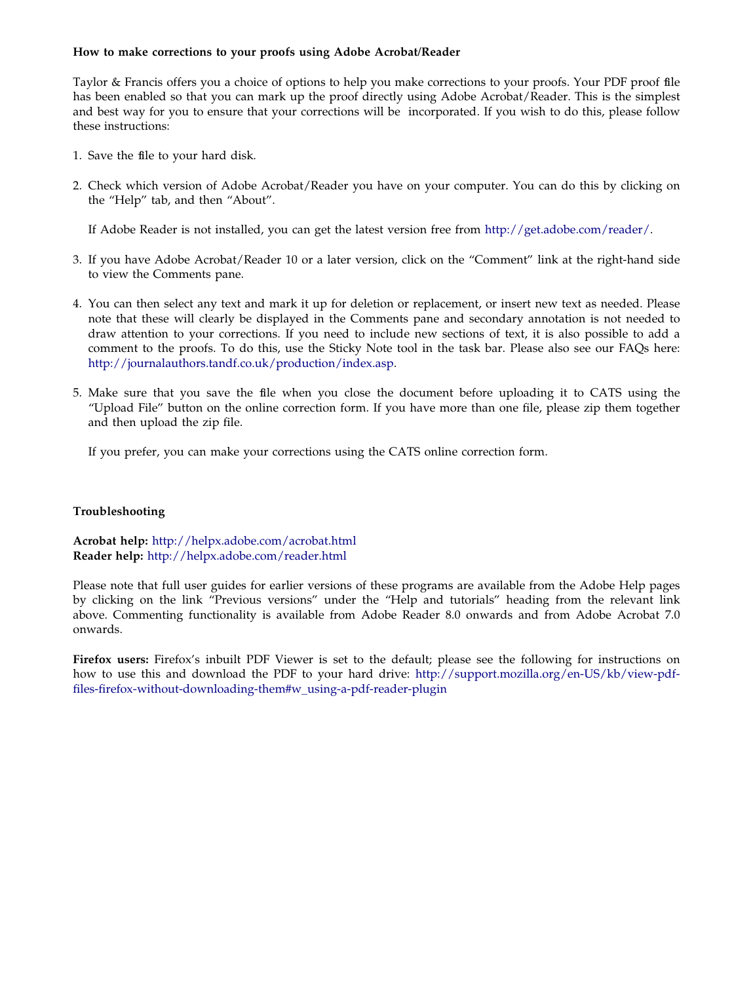#### How to make corrections to your proofs using Adobe Acrobat/Reader

Taylor & Francis offers you a choice of options to help you make corrections to your proofs. Your PDF proof file has been enabled so that you can mark up the proof directly using Adobe Acrobat/Reader. This is the simplest and best way for you to ensure that your corrections will be incorporated. If you wish to do this, please follow these instructions:

- 1. Save the file to your hard disk.
- 2. Check which version of Adobe Acrobat/Reader you have on your computer. You can do this by clicking on the "Help" tab, and then "About".

If Adobe Reader is not installed, you can get the latest version free from [http://get.adobe.com/reader/.](http://get.adobe.com/reader/)

- 3. If you have Adobe Acrobat/Reader 10 or a later version, click on the "Comment" link at the right-hand side to view the Comments pane.
- 4. You can then select any text and mark it up for deletion or replacement, or insert new text as needed. Please note that these will clearly be displayed in the Comments pane and secondary annotation is not needed to draw attention to your corrections. If you need to include new sections of text, it is also possible to add a comment to the proofs. To do this, use the Sticky Note tool in the task bar. Please also see our FAQs here: [http://journalauthors.tandf.co.uk/production/index.asp.](http://journalauthors.tandf.co.uk/production/index.asp)
- 5. Make sure that you save the file when you close the document before uploading it to CATS using the "Upload File" button on the online correction form. If you have more than one file, please zip them together and then upload the zip file.

If you prefer, you can make your corrections using the CATS online correction form.

#### Troubleshooting

Acrobat help: <http://helpx.adobe.com/acrobat.html> Reader help: <http://helpx.adobe.com/reader.html>

Please note that full user guides for earlier versions of these programs are available from the Adobe Help pages by clicking on the link "Previous versions" under the "Help and tutorials" heading from the relevant link above. Commenting functionality is available from Adobe Reader 8.0 onwards and from Adobe Acrobat 7.0 onwards.

Firefox users: Firefox's inbuilt PDF Viewer is set to the default; please see the following for instructions on how to use this and download the PDF to your hard drive: [http://support.mozilla.org/en-US/kb/view-pdf](http://support.mozilla.org/en-US/kb/view-pdf-files-firefox-without-downloading-them#w_using-a-pdf-reader-plugin)[files-firefox-without-downloading-them#w\\_using-a-pdf-reader-plugin](http://support.mozilla.org/en-US/kb/view-pdf-files-firefox-without-downloading-them#w_using-a-pdf-reader-plugin)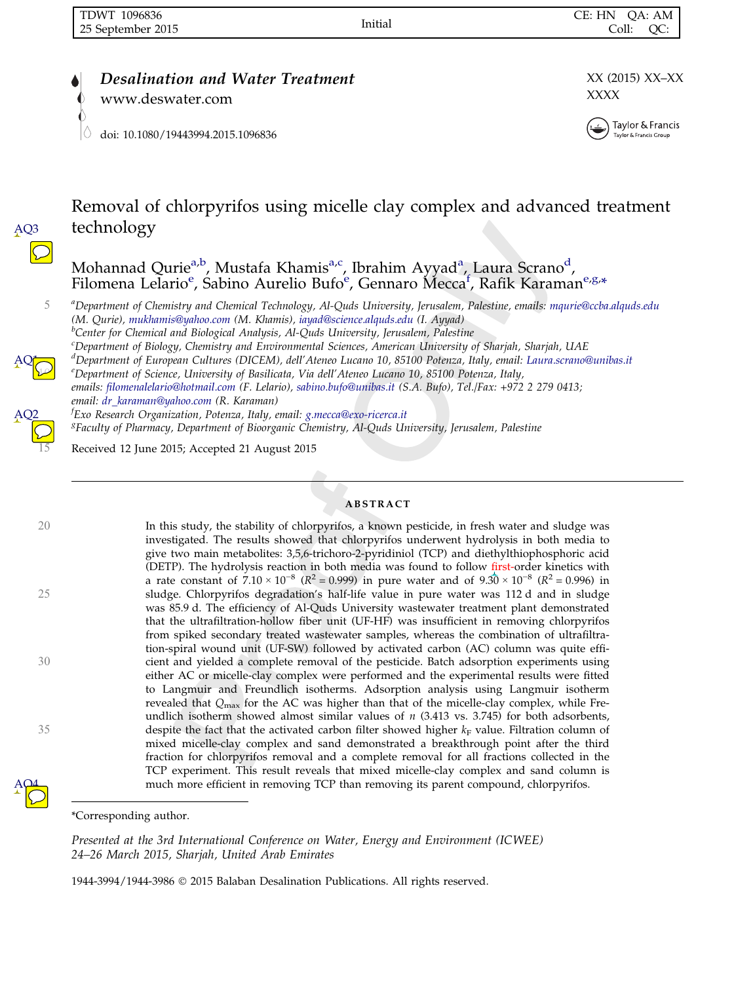AQ3

AQ<mark>1</mark>

AQ2

AQ4

www.deswater.com XXXX

[doi: 10.1080/19443994.2015.1096836](http://dx.doi.org/10.1080/19443994.2015.1096836)

**Desalination and Water Treatment** XX (2015) XX–XX



Removal of chlorpyrifos using micelle clay complex and advanced treatment technology

Mohannad Qurie<sup>a,b</sup>, Mustafa Khamis<sup>a,c</sup>, Ibrahim Ayyad<sup>a</sup>, Laura Scrano<sup>d</sup>, Filomena Lelario<sup>e</sup>, Sabino Aurelio Bufo<sup>e</sup>, Gennaro Mecca<sup>f</sup>, Rafik Karaman<sup>e,g,\*</sup>

5 <sup>a</sup> Department of Chemistry and Chemical Technology, Al-Quds University, Jerusalem, Palestine, emails: [mqurie@ccba.alquds.edu](mailto:mqurie@ccba.alquds.edu) (M. Qurie), [mukhamis@yahoo.com](mailto:mukhamis@yahoo.com) (M. Khamis), [iayad@science.alquds.edu](mailto:iayad@science.alquds.edu) (I. Ayyad) <sup>b</sup> <sup>b</sup>Center for Chemical and Biological Analysis, Al-Quds University, Jerusalem, Palestine c Department of Biology, Chemistry and Environmental Sciences, American University of Sharjah, Sharjah, UAE d Department of European Cultures (DICEM), dell'Ateneo Lucano 10, 85100 Potenza, Italy, email: [Laura.scrano@unibas.it](mailto:Laura.scrano@unibas.it)  $\frac{1}{\epsilon}$  $e^{\rho}$ Pepartment of Science, University of Basilicata, Via dell'Ateneo Lucano 10, 85100 Potenza, Italy, emails: [filomenalelario@hotmail.com](mailto:filomenalelario@hotmail.com) (F. Lelario), [sabino.bufo@unibas.it](mailto:sabino.bufo@unibas.it) (S.A. Bufo), Tel./Fax: +972 2 279 0413;

email: [dr\\_karaman@yahoo.com](mailto:dr_karaman@yahoo.com) (R. Karaman) f Exo Research Organization, Potenza, Italy, email: [g.mecca@exo-ricerca.it](mailto:g.mecca@exo-ricerca.it) <sup>8</sup>Faculty of Pharmacy, Department of Bioorganic Chemistry, Al-Quds University, Jerusalem, Palestine

<sup>15</sup> Received 12 June 2015; Accepted 21 August 2015

#### ABSTRACT

<sup>20</sup> In this study, the stability of chlorpyrifos, a known pesticide, in fresh water and sludge was investigated. The results showed that chlorpyrifos underwent hydrolysis in both media to give two main metabolites: 3,5,6-trichoro-2-pyridiniol (TCP) and diethylthiophosphoric acid (DETP). The hydrolysis reaction in both media was found to follow first-order kinetics with a rate constant of  $7.10 \times 10^{-8}$  ( $\mathbb{R}^2 = 0.999$ ) in pure water and of  $9.30 \times 10^{-8}$  ( $\mathbb{R}^2 = 0.996$ ) in <sup>25</sup> sludge. Chlorpyrifos degradation's half-life value in pure water was 112 d and in sludge was 85.9 d. The efficiency of Al-Quds University wastewater treatment plant demonstrated that the ultrafiltration-hollow fiber unit (UF-HF) was insufficient in removing chlorpyrifos from spiked secondary treated wastewater samples, whereas the combination of ultrafiltration-spiral wound unit (UF-SW) followed by activated carbon (AC) column was quite effi-<sup>30</sup> cient and yielded a complete removal of the pesticide. Batch adsorption experiments using either AC or micelle-clay complex were performed and the experimental results were fitted to Langmuir and Freundlich isotherms. Adsorption analysis using Langmuir isotherm revealed that  $Q_{\text{max}}$  for the AC was higher than that of the micelle-clay complex, while Freundlich isotherm showed almost similar values of  $n$  (3.413 vs. 3.745) for both adsorbents, 35 despite the fact that the activated carbon filter showed higher  $k_F$  value. Filtration column of mixed micelle-clay complex and sand demonstrated a breakthrough point after the third fraction for chlorpyrifos removal and a complete removal for all fractions collected in the TCP experiment. This result reveals that mixed micelle-clay complex and sand column is much more efficient in removing TCP than removing its parent compound, chlorpyrifos.

Presented at the 3rd International Conference on Water, Energy and Environment (ICWEE) 24–26 March 2015, Sharjah, United Arab Emirates

1944-3994/1944-3986 2015 Balaban Desalination Publications. All rights reserved.

<sup>\*</sup>Corresponding author.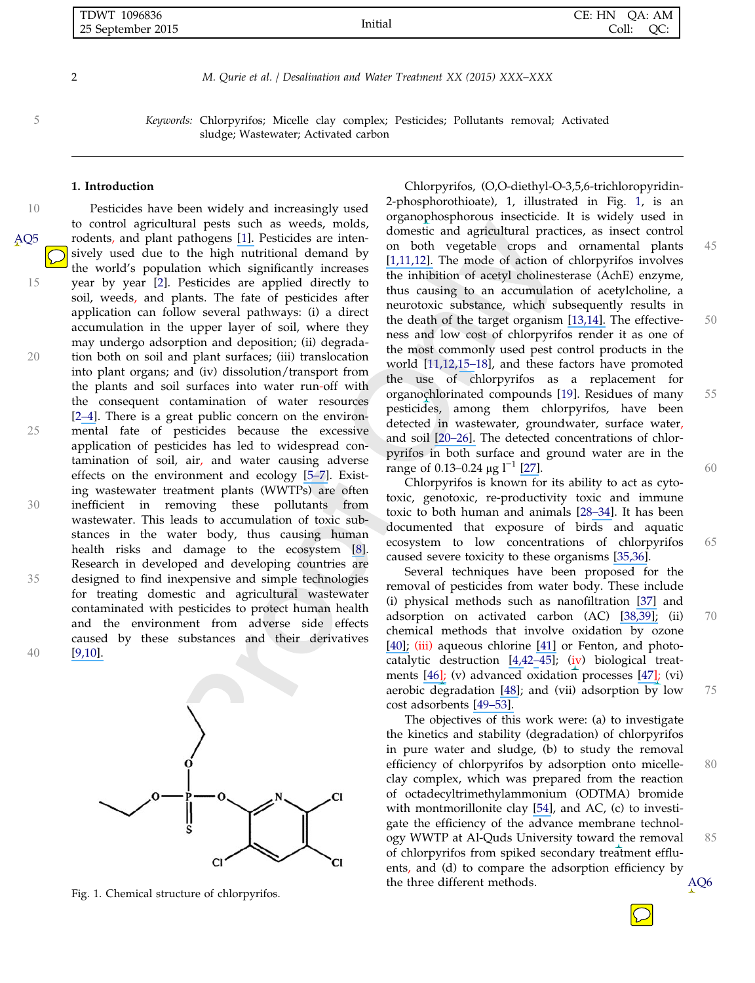| <b>TDWT</b><br>1096836 | .                          | HN<br>CE:<br>)A: AM |
|------------------------|----------------------------|---------------------|
| 25 September 2015      | Initial<br>--------------- | Coll:<br>OC:        |

<sup>5</sup> Keywords: Chlorpyrifos; Micelle clay complex; Pesticides; Pollutants removal; Activated sludge; Wastewater; Activated carbon

#### 1. Introduction

10 Pesticides have been widely and increasingly used to control agricultural pests such as weeds, molds, rodents, and plant pathogens [\[1\].](https://www.researchgate.net/publication/51152510_Removal_of_Chlorpyrifos_by_Water_Lettuce_Pistia_stratiotes_L_and_Duckweed_Lemna_minor_L?el=1_x_8&enrichId=rgreq-f6b5a74858dd4000c4d90479b77a495f-XXX&enrichSource=Y292ZXJQYWdlOzI4MzE2MzU3MztBUzoyODkyMTMwMjgyOTA1NjJAMTQ0NTk2NTE2NzgzOA==) Pesticides are intensively used due to the high nutritional demand by the world's population which significantly increases 15 year by year [2]. Pesticides are applied directly to soil, weeds, and plants. The fate of pesticides after application can follow several pathways: (i) a direct accumulation in the upper layer of soil, where they may undergo adsorption and deposition; (ii) degrada-20 tion both on soil and plant surfaces; (iii) translocation into plant organs; and (iv) dissolution/transport from the plants and soil surfaces into water run-off with the consequent contamination of water resources [2[–](https://www.researchgate.net/publication/222431661_UV_Induced_Degradation_of_Herbicide_24-D_Kinetics_Mechanism_and_Effect_of_Various_Conditions_on_the_Degradation?el=1_x_8&enrichId=rgreq-f6b5a74858dd4000c4d90479b77a495f-XXX&enrichSource=Y292ZXJQYWdlOzI4MzE2MzU3MztBUzoyODkyMTMwMjgyOTA1NjJAMTQ0NTk2NTE2NzgzOA==)[4\]](https://www.researchgate.net/publication/6654193_Photocatalytic_Degradation_of_Agricultural_N-Heterocyclic_Organic_Pollutants_Using_Immobilized_Nanoparticles_of_Titania?el=1_x_8&enrichId=rgreq-f6b5a74858dd4000c4d90479b77a495f-XXX&enrichSource=Y292ZXJQYWdlOzI4MzE2MzU3MztBUzoyODkyMTMwMjgyOTA1NjJAMTQ0NTk2NTE2NzgzOA==). There is a great public concern on the environ-25 mental fate of pesticides because the excessive application of pesticides has led to widespread contamination of soil, air, and water causing adverse effects on the environment and ecology [\[5](https://www.researchgate.net/publication/225913373_Pesticide_effects_on_bacterial_diversity_in_agricultural_soils_-_A_review?el=1_x_8&enrichId=rgreq-f6b5a74858dd4000c4d90479b77a495f-XXX&enrichSource=Y292ZXJQYWdlOzI4MzE2MzU3MztBUzoyODkyMTMwMjgyOTA1NjJAMTQ0NTk2NTE2NzgzOA==)[–](https://www.researchgate.net/publication/11270196_Persistence_of_Chlorpyrifos_Fenamiphos_Chlorothalonil_and_Pendimethalin_in_Soil_and_Their_Effects_on_Soil_Microbial_Characteristics?el=1_x_8&enrichId=rgreq-f6b5a74858dd4000c4d90479b77a495f-XXX&enrichSource=Y292ZXJQYWdlOzI4MzE2MzU3MztBUzoyODkyMTMwMjgyOTA1NjJAMTQ0NTk2NTE2NzgzOA==)[7\]](https://www.researchgate.net/publication/248701406_Utilization_of_chlorpyrifos_as_a_sole_source_of_carbon_by_bacteria_isolated_from_wastewater_irrigated_agricultural_soils_in_an_industrial_ares_of_western_Uttar_Pradesh_India?el=1_x_8&enrichId=rgreq-f6b5a74858dd4000c4d90479b77a495f-XXX&enrichSource=Y292ZXJQYWdlOzI4MzE2MzU3MztBUzoyODkyMTMwMjgyOTA1NjJAMTQ0NTk2NTE2NzgzOA==). Existing wastewater treatment plants (WWTPs) are often 30 inefficient in removing these pollutants from wastewater. This leads to accumulation of toxic substances in the water body, thus causing human health risks and damage to the ecosystem [\[8\]](https://www.researchgate.net/publication/225295381_Comparison_of_the_removal_of_chlorpyrifos_and_dissolved_organic_carbon_in_horizontal_sub-surface_and_surface_flow_wetlands?el=1_x_8&enrichId=rgreq-f6b5a74858dd4000c4d90479b77a495f-XXX&enrichSource=Y292ZXJQYWdlOzI4MzE2MzU3MztBUzoyODkyMTMwMjgyOTA1NjJAMTQ0NTk2NTE2NzgzOA==). Research in developed and developing countries are 35 designed to find inexpensive and simple technologies for treating domestic and agricultural wastewater contaminated with pesticides to protect human health and the environment from adverse side effects caused by these substances and their derivatives 40 [\[9,10\].](https://www.researchgate.net/publication/248412862_Feasibility_of_using_constructed_treatment_wetlands_for_municipal_wastewater_treatment_in_the_Bogota_Savannah_Colombia?el=1_x_8&enrichId=rgreq-f6b5a74858dd4000c4d90479b77a495f-XXX&enrichSource=Y292ZXJQYWdlOzI4MzE2MzU3MztBUzoyODkyMTMwMjgyOTA1NjJAMTQ0NTk2NTE2NzgzOA==) AQ5



Fig. 1. Chemical structure of chlorpyrifos.

Chlorpyrifos, (O,O-diethyl-O-3,5,6-trichloropyridin-2-phosphorothioate), 1, illustrated in Fig. 1, is an organophosphorous insecticide. It is widely used in domestic and agricultural practices, as insect control on both vegetable crops and ornamental plants 45 [\[1,11,12\].](https://www.researchgate.net/publication/51152510_Removal_of_Chlorpyrifos_by_Water_Lettuce_Pistia_stratiotes_L_and_Duckweed_Lemna_minor_L?el=1_x_8&enrichId=rgreq-f6b5a74858dd4000c4d90479b77a495f-XXX&enrichSource=Y292ZXJQYWdlOzI4MzE2MzU3MztBUzoyODkyMTMwMjgyOTA1NjJAMTQ0NTk2NTE2NzgzOA==) The mode of action of chlorpyrifos involves the inhibition of acetyl cholinesterase (AchE) enzyme, thus causing to an accumulation of acetylcholine, a neurotoxic substance, which subsequently results in the death of the target organism [\[13,14\].](https://www.researchgate.net/publication/11987041_Acetylcholinesterase_inhibition_in_estuarine_fish_and_invertebrates_as_an_indicator_of_organophosphorus_insecticide_exposure_and_effects?el=1_x_8&enrichId=rgreq-f6b5a74858dd4000c4d90479b77a495f-XXX&enrichSource=Y292ZXJQYWdlOzI4MzE2MzU3MztBUzoyODkyMTMwMjgyOTA1NjJAMTQ0NTk2NTE2NzgzOA==) The effective- 50 ness and low cost of chlorpyrifos render it as one of the most commonly used pest control products in the world [11,12,[15](https://www.researchgate.net/publication/7292239_Characterization_of_a_fungal_strain_capable_of_degrading_chlorpyrifos_and_its_use_in_detoxification_of_the_insecticide_on_vegetables?el=1_x_8&enrichId=rgreq-f6b5a74858dd4000c4d90479b77a495f-XXX&enrichSource=Y292ZXJQYWdlOzI4MzE2MzU3MztBUzoyODkyMTMwMjgyOTA1NjJAMTQ0NTk2NTE2NzgzOA==)[–](https://www.researchgate.net/publication/6227632_Mineralization_of_chlorpyrifos_by_co-culture_of_Serratia_and_Trichosporon_spp?el=1_x_8&enrichId=rgreq-f6b5a74858dd4000c4d90479b77a495f-XXX&enrichSource=Y292ZXJQYWdlOzI4MzE2MzU3MztBUzoyODkyMTMwMjgyOTA1NjJAMTQ0NTk2NTE2NzgzOA==)18], and these factors have promoted the use of chlorpyrifos as a replacement for organochlorinated compounds [19]. Residues of many 55 pesticides, among them chlorpyrifos, have been detected in wastewater, groundwater, surface water, and soil [\[20–26\].](https://www.researchgate.net/publication/26253279_Embryo-toxic_effects_of_environmental_concentrations_of_chlorpyrifos_on_the_crustacean_Daphnia_magna?el=1_x_8&enrichId=rgreq-f6b5a74858dd4000c4d90479b77a495f-XXX&enrichSource=Y292ZXJQYWdlOzI4MzE2MzU3MztBUzoyODkyMTMwMjgyOTA1NjJAMTQ0NTk2NTE2NzgzOA==) The detected concentrations of chlorpyrifos in both surface and ground water are in the range of 0.13–0.24 μg  $l^{-1}$  [\[27\]](https://www.researchgate.net/publication/228685153_Investigation_of_the_occurrence_of_pesticide_residues_in_rural_wells_and_surface_water_following_application_to_tobacco?el=1_x_8&enrichId=rgreq-f6b5a74858dd4000c4d90479b77a495f-XXX&enrichSource=Y292ZXJQYWdlOzI4MzE2MzU3MztBUzoyODkyMTMwMjgyOTA1NjJAMTQ0NTk2NTE2NzgzOA==).  $\sim$  60 Chlorpyrifos is known for its ability to act as cyto-

toxic, genotoxic, re-productivity toxic and immune toxic to both human and animals [2[8–](https://www.researchgate.net/publication/8050831_Genotoxicity_testing_of_some_organophosphate_insecticides_in_the_Drosophila_wing_spot_test?el=1_x_8&enrichId=rgreq-f6b5a74858dd4000c4d90479b77a495f-XXX&enrichSource=Y292ZXJQYWdlOzI4MzE2MzU3MztBUzoyODkyMTMwMjgyOTA1NjJAMTQ0NTk2NTE2NzgzOA==)[34\]](https://www.researchgate.net/publication/228473707_Effects_of_an_organophosphorus_insecticide_trichlorfon_on_hematological_parameters_of_the_giant_freshwater_prawn_Macrobrachium_rosenbergii_de_Man?el=1_x_8&enrichId=rgreq-f6b5a74858dd4000c4d90479b77a495f-XXX&enrichSource=Y292ZXJQYWdlOzI4MzE2MzU3MztBUzoyODkyMTMwMjgyOTA1NjJAMTQ0NTk2NTE2NzgzOA==). It has been documented that exposure of birds and aquatic ecosystem to low concentrations of chlorpyrifos 65 caused severe toxicity to these organisms [\[35,](https://www.researchgate.net/publication/235146058_Chlorpyrifos_Hazards_to_Fish_Wildlife_and_Invertebrates_A_Synoptic_Review?el=1_x_8&enrichId=rgreq-f6b5a74858dd4000c4d90479b77a495f-XXX&enrichSource=Y292ZXJQYWdlOzI4MzE2MzU3MztBUzoyODkyMTMwMjgyOTA1NjJAMTQ0NTk2NTE2NzgzOA==)[36\]](https://www.researchgate.net/publication/21772449_Acute_toxicity_and_oxygen_consumption_in_the_gills_of_Procambarus_clarkii_inrelation_to_chlorpyrifos_exposure?el=1_x_8&enrichId=rgreq-f6b5a74858dd4000c4d90479b77a495f-XXX&enrichSource=Y292ZXJQYWdlOzI4MzE2MzU3MztBUzoyODkyMTMwMjgyOTA1NjJAMTQ0NTk2NTE2NzgzOA==).

Several techniques have been proposed for the removal of pesticides from water body. These include (i) physical methods such as nanofiltration [\[37\]](https://www.researchgate.net/publication/223653466_Removal_of_arsenic_and_pesticides_from_drinking_water_by_nanofiltration_membranes?el=1_x_8&enrichId=rgreq-f6b5a74858dd4000c4d90479b77a495f-XXX&enrichSource=Y292ZXJQYWdlOzI4MzE2MzU3MztBUzoyODkyMTMwMjgyOTA1NjJAMTQ0NTk2NTE2NzgzOA==) and adsorption on activated carbon (AC) [\[38](https://www.researchgate.net/publication/38057947_Detoxification_of_pesticide_waste_via_activated_carbon_adsorption_process?el=1_x_8&enrichId=rgreq-f6b5a74858dd4000c4d90479b77a495f-XXX&enrichSource=Y292ZXJQYWdlOzI4MzE2MzU3MztBUzoyODkyMTMwMjgyOTA1NjJAMTQ0NTk2NTE2NzgzOA==)[,39\];](https://www.researchgate.net/publication/6711641_Study_of_Imidaclopride_Removal_from_Aqueous_Solution_by_Adsorption_onto_Granular_Activated_Carbon_Using_an_On-Line_Spectrophotometric_Analysis_System?el=1_x_8&enrichId=rgreq-f6b5a74858dd4000c4d90479b77a495f-XXX&enrichSource=Y292ZXJQYWdlOzI4MzE2MzU3MztBUzoyODkyMTMwMjgyOTA1NjJAMTQ0NTk2NTE2NzgzOA==) (ii) 70 chemical methods that involve oxidation by ozone [\[40\];](https://www.researchgate.net/publication/40730122_Kinetics_and_mechanism_of_the_degradation_of_two_pesticides_in_aqueous_solutions_by_ozonation?el=1_x_8&enrichId=rgreq-f6b5a74858dd4000c4d90479b77a495f-XXX&enrichSource=Y292ZXJQYWdlOzI4MzE2MzU3MztBUzoyODkyMTMwMjgyOTA1NjJAMTQ0NTk2NTE2NzgzOA==) (iii) aqueous chlorine [\[41\]](https://www.researchgate.net/publication/12737263_Oxidation_of_diazinon_by_aqueous_chlorine_kinetics_mechanisms_and_product_studies?el=1_x_8&enrichId=rgreq-f6b5a74858dd4000c4d90479b77a495f-XXX&enrichSource=Y292ZXJQYWdlOzI4MzE2MzU3MztBUzoyODkyMTMwMjgyOTA1NjJAMTQ0NTk2NTE2NzgzOA==) or Fenton, and photocatalytic destruction [\[4,4](https://www.researchgate.net/publication/6654193_Photocatalytic_Degradation_of_Agricultural_N-Heterocyclic_Organic_Pollutants_Using_Immobilized_Nanoparticles_of_Titania?el=1_x_8&enrichId=rgreq-f6b5a74858dd4000c4d90479b77a495f-XXX&enrichSource=Y292ZXJQYWdlOzI4MzE2MzU3MztBUzoyODkyMTMwMjgyOTA1NjJAMTQ0NTk2NTE2NzgzOA==)2[–](https://www.researchgate.net/publication/232400563_Relationship_between_TiO2_particle_size_and_reactor_diameter_in_solar_photoreactors_efficiency?el=1_x_8&enrichId=rgreq-f6b5a74858dd4000c4d90479b77a495f-XXX&enrichSource=Y292ZXJQYWdlOzI4MzE2MzU3MztBUzoyODkyMTMwMjgyOTA1NjJAMTQ0NTk2NTE2NzgzOA==)45]; (iv) biological treatments [\[46\];](https://www.researchgate.net/publication/24266955_Biodegradation_of_the_organophosphorus_insecticide_diazinon_by_Serratia_sp_and_Pseudomonas_sp_and_their_use_in_bioremediation_of_contaminated_soil?el=1_x_8&enrichId=rgreq-f6b5a74858dd4000c4d90479b77a495f-XXX&enrichSource=Y292ZXJQYWdlOzI4MzE2MzU3MztBUzoyODkyMTMwMjgyOTA1NjJAMTQ0NTk2NTE2NzgzOA==) (v) advanced oxidation processes [\[47\]](https://www.researchgate.net/publication/6135669_Comparison_of_Various_Advanced_Oxidation_Processes_for_the_Degradation_of_4-Chloro-2-nitrophenol?el=1_x_8&enrichId=rgreq-f6b5a74858dd4000c4d90479b77a495f-XXX&enrichSource=Y292ZXJQYWdlOzI4MzE2MzU3MztBUzoyODkyMTMwMjgyOTA1NjJAMTQ0NTk2NTE2NzgzOA==); (vi) aerobic degradation [\[48\]](https://www.researchgate.net/publication/6330276_Aerobic_degradation_of_technical_hexachlorocyclohexane_by_a_defined_microbial_consortium?el=1_x_8&enrichId=rgreq-f6b5a74858dd4000c4d90479b77a495f-XXX&enrichSource=Y292ZXJQYWdlOzI4MzE2MzU3MztBUzoyODkyMTMwMjgyOTA1NjJAMTQ0NTk2NTE2NzgzOA==); and (vii) adsorption by low 75 cost adsorbents [\[49–53\].](https://www.researchgate.net/publication/209911034_Kinetics_for_the_Removal_of_Paraquat_Dichloride_from_Aqueous_Solution_by_Activated_Date_Phoenix_dactylifera_Stone_Carbon?el=1_x_8&enrichId=rgreq-f6b5a74858dd4000c4d90479b77a495f-XXX&enrichSource=Y292ZXJQYWdlOzI4MzE2MzU3MztBUzoyODkyMTMwMjgyOTA1NjJAMTQ0NTk2NTE2NzgzOA==)

The objectives of this work were: (a) to investigate the kinetics and stability (degradation) of chlorpyrifos in pure water and sludge, (b) to study the removal efficiency of chlorpyrifos by adsorption onto micelle- 80 clay complex, which was prepared from the reaction of octadecyltrimethylammonium (ODTMA) bromide with montmorillonite clay [\[54\]](https://www.researchgate.net/publication/7867658_Water_Purification_of_Organic_Pollutants_by_Optimized_Micelle-Clay_Systems?el=1_x_8&enrichId=rgreq-f6b5a74858dd4000c4d90479b77a495f-XXX&enrichSource=Y292ZXJQYWdlOzI4MzE2MzU3MztBUzoyODkyMTMwMjgyOTA1NjJAMTQ0NTk2NTE2NzgzOA==), and AC, (c) to investigate the efficiency of the advance membrane technology WWTP at Al-Quds University toward the removal 85 of chlorpyrifos from spiked secondary treatment effluents, and (d) to compare the adsorption efficiency by the three different methods. AQ6

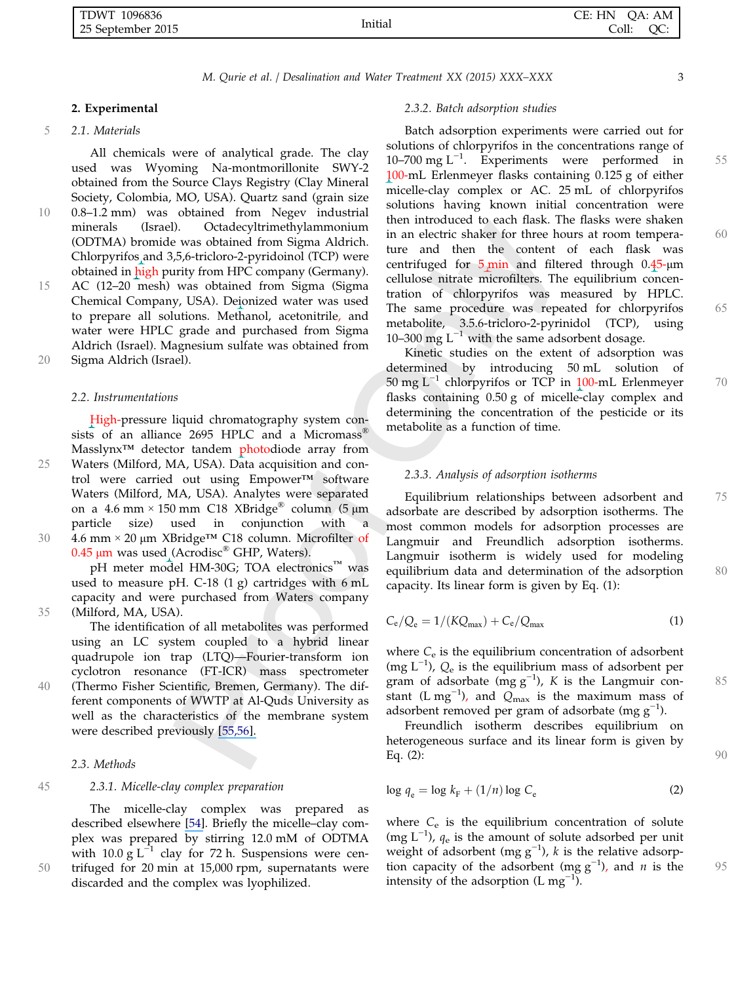#### 2. Experimental

#### 5 2.1. Materials

All chemicals were of analytical grade. The clay used was Wyoming Na-montmorillonite SWY-2 obtained from the Source Clays Registry (Clay Mineral Society, Colombia, MO, USA). Quartz sand (grain size 10 0.8–1.2 mm) was obtained from Negev industrial Octadecyltrimethylammonium (ODTMA) bromide was obtained from Sigma Aldrich. Chlorpyrifos and 3,5,6-tricloro-2-pyridoinol (TCP) were obtained in high purity from HPC company (Germany).

15 AC (12–20 mesh) was obtained from Sigma (Sigma Chemical Company, USA). Deionized water was used to prepare all solutions. Methanol, acetonitrile, and water were HPLC grade and purchased from Sigma Aldrich (Israel). Magnesium sulfate was obtained from

20 Sigma Aldrich (Israel).

#### 2.2. Instrumentations

High-pressure liquid chromatography system consists of an alliance 2695 HPLC and a Micromass<sup>®</sup> Masslynx<sup>™</sup> detector tandem photodiode array from 25 Waters (Milford, MA, USA). Data acquisition and control were carried out using Empower™ software Waters (Milford, MA, USA). Analytes were separated on a 4.6 mm × 150 mm C18 XBridge<sup>®</sup> column (5 µm particle size) used in conjunction with a used in conjunction 30 4.6 mm × <sup>20</sup> <sup>μ</sup>m XBridge™ C18 column. Microfilter of

 $0.45$  µm was used (Acrodisc<sup>®</sup> GHP, Waters). pH meter model HM-30G; TOA electronics™ was used to measure pH. C-18 (1 g) cartridges with 6 mL capacity and were purchased from Waters company 35 (Milford, MA, USA).

The identification of all metabolites was performed using an LC system coupled to a hybrid linear quadrupole ion trap (LTQ)—Fourier-transform ion cyclotron resonance (FT-ICR) mass spectrometer 40 (Thermo Fisher Scientific, Bremen, Germany). The different components of WWTP at Al-Quds University as

well as the characteristics of the membrane system were described previously [\[55,56\].](https://www.researchgate.net/publication/232804542_Efficiency_of_Advanced_Membrane_Wastewater_Treatment_Plant_towards_Removal_of_Aspirin_Salicylic_Acid_Paracetamol_and_p-Aminophenol?el=1_x_8&enrichId=rgreq-f6b5a74858dd4000c4d90479b77a495f-XXX&enrichSource=Y292ZXJQYWdlOzI4MzE2MzU3MztBUzoyODkyMTMwMjgyOTA1NjJAMTQ0NTk2NTE2NzgzOA==)

#### 2.3. Methods

#### 45 2.3.1. Micelle-clay complex preparation

The micelle-clay complex was prepared as described elsewhere [\[54\]](https://www.researchgate.net/publication/7867658_Water_Purification_of_Organic_Pollutants_by_Optimized_Micelle-Clay_Systems?el=1_x_8&enrichId=rgreq-f6b5a74858dd4000c4d90479b77a495f-XXX&enrichSource=Y292ZXJQYWdlOzI4MzE2MzU3MztBUzoyODkyMTMwMjgyOTA1NjJAMTQ0NTk2NTE2NzgzOA==). Briefly the micelle–clay complex was prepared by stirring 12.0 mM of ODTMA with 10.0 g  $L^{-1}$  clay for 72 h. Suspensions were cen-50 trifuged for 20 min at 15,000 rpm, supernatants were discarded and the complex was lyophilized.

#### 2.3.2. Batch adsorption studies

Batch adsorption experiments were carried out for solutions of chlorpyrifos in the concentrations range of 10–700 mg L<sup>-1</sup>. Experiments were performed in 55<br>100-mJ Frienmeyer flasks containing 0.125 g of either 100-mL Erlenmeyer flasks containing 0.125 g of either micelle-clay complex or AC. 25 mL of chlorpyrifos solutions having known initial concentration were then introduced to each flask. The flasks were shaken in an electric shaker for three hours at room tempera- 60 ture and then the content of each flask was centrifuged for  $5 \text{ min}$  and filtered through 0.45- $\mu$ m cellulose nitrate microfilters. The equilibrium concentration of chlorpyrifos was measured by HPLC. The same procedure was repeated for chlorpyrifos 65 metabolite, 3.5.6-tricloro-2-pyrinidol (TCP), using 10–300 mg  $L^{-1}$  with the same adsorbent dosage.

Kinetic studies on the extent of adsorption was determined by introducing 50 mL solution of  $50 \text{ mg } L^{-1}$  chlorpyrifos or TCP in 100-mL Erlenmeyer  $70$ flasks containing 0.50 g of micelle-clay complex and determining the concentration of the pesticide or its metabolite as a function of time.

#### 2.3.3. Analysis of adsorption isotherms

Equilibrium relationships between adsorbent and 75 adsorbate are described by adsorption isotherms. The most common models for adsorption processes are Langmuir and Freundlich adsorption isotherms. Langmuir isotherm is widely used for modeling equilibrium data and determination of the adsorption 80 capacity. Its linear form is given by Eq. (1):

$$
C_{\rm e}/Q_{\rm e} = 1/(KQ_{\rm max}) + C_{\rm e}/Q_{\rm max} \tag{1}
$$

where  $C_e$  is the equilibrium concentration of adsorbent (mg L−<sup>1</sup> ), Q<sup>e</sup> is the equilibrium mass of adsorbent per gram of adsorbate  $(\text{mg g}^{-1})$ , K is the Langmuir con-<br>stant  $(\text{Im } \text{m}^{-1})$  and  $\text{O}$  is the maximum mass of stant (L mg<sup>-1</sup>), and  $Q_{\text{max}}$  is the maximum mass of adsorbent removed per gram of adsorbate (mg  $g^{-1}$ ).

Freundlich isotherm describes equilibrium on heterogeneous surface and its linear form is given by Eq. (2): 90

$$
\log q_{\rm e} = \log k_{\rm F} + (1/n) \log C_{\rm e} \tag{2}
$$

where  $C_e$  is the equilibrium concentration of solute (mg  $L^{-1}$ ),  $q_e$  is the amount of solute adsorbed per unit weight of adsorbent (mg  $g^{-1}$ ), k is the relative adsorption capacity of the adsorbent (mg g<sup>-1</sup>), and *n* is the 95 intensity of the adsorption (I mg<sup>-1</sup>) intensity of the adsorption  $(L mg^{-1})$ .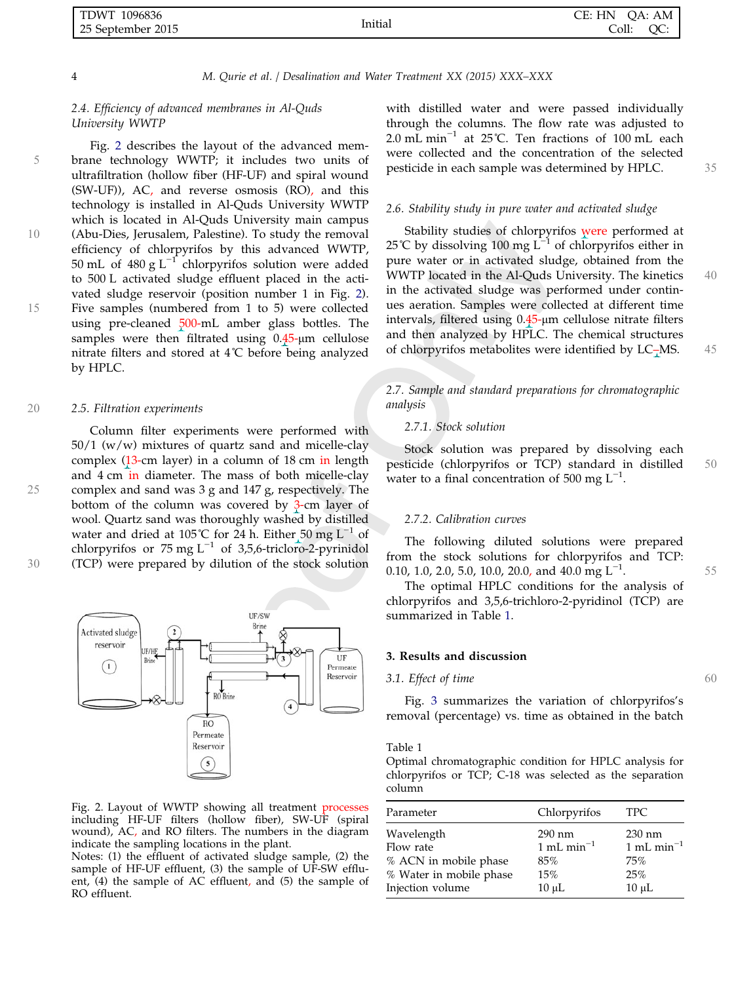| . TDWT<br>1096836 |         | CE: HN<br>OA: AM |
|-------------------|---------|------------------|
| 25 September 2015 | Initial | OC:<br>Coll:     |

#### 2.4. Efficiency of advanced membranes in Al-Quds University WWTP

Fig. 2 describes the layout of the advanced mem-5 brane technology WWTP; it includes two units of ultrafiltration (hollow fiber (HF-UF) and spiral wound (SW-UF)), AC, and reverse osmosis (RO), and this technology is installed in Al-Quds University WWTP which is located in Al-Quds University main campus 10 (Abu-Dies, Jerusalem, Palestine). To study the removal efficiency of chlorpyrifos by this advanced WWTP, 50 mL of 480 g  $L^{-1}$  chlorpyrifos solution were added to 500 L activated sludge effluent placed in the activated sludge reservoir (position number 1 in Fig. 2). 15 Five samples (numbered from 1 to 5) were collected using pre-cleaned 500-mL amber glass bottles. The samples were then filtrated using 0.45-μm cellulose nitrate filters and stored at 4˚C before being analyzed by HPLC.

#### 20 2.5. Filtration experiments

Column filter experiments were performed with  $50/1$  (w/w) mixtures of quartz sand and micelle-clay complex (13-cm layer) in a column of 18 cm in length and 4 cm in diameter. The mass of both micelle-clay 25 complex and sand was 3 g and 147 g, respectively. The bottom of the column was covered by 3-cm layer of wool. Quartz sand was thoroughly washed by distilled water and dried at 105°C for 24 h. Either 50 mg  $L^{-1}$  of chlorpyrifos or 75 mg  $L^{-1}$  of 3,5,6-tricloro-2-pyrinidol 30 (TCP) were prepared by dilution of the stock solution



Fig. 2. Layout of WWTP showing all treatment processes including HF-UF filters (hollow fiber), SW-UF (spiral wound), AC, and RO filters. The numbers in the diagram indicate the sampling locations in the plant.

Notes: (1) the effluent of activated sludge sample, (2) the sample of HF-UF effluent, (3) the sample of UF-SW effluent, (4) the sample of AC effluent, and (5) the sample of RO effluent.

with distilled water and were passed individually through the columns. The flow rate was adjusted to 2.0 mL min−<sup>1</sup> at 25˚C. Ten fractions of 100 mL each were collected and the concentration of the selected pesticide in each sample was determined by HPLC. 35

#### 2.6. Stability study in pure water and activated sludge

Stability studies of chlorpyrifos were performed at 25℃ by dissolving 100 mg L<sup>-1</sup> of chlorpyrifos either in pure water or in activated sludge, obtained from the WWTP located in the Al-Quds University. The kinetics 40 in the activated sludge was performed under continues aeration. Samples were collected at different time intervals, filtered using 0.45-μm cellulose nitrate filters and then analyzed by HPLC. The chemical structures of chlorpyrifos metabolites were identified by LC–MS. 45

#### 2.7. Sample and standard preparations for chromatographic analysis

#### 2.7.1. Stock solution

Stock solution was prepared by dissolving each pesticide (chlorpyrifos or TCP) standard in distilled 50 water to a final concentration of 500 mg  $L^{-1}$ .

#### 2.7.2. Calibration curves

The following diluted solutions were prepared from the stock solutions for chlorpyrifos and TCP: 0.10, 1.0, 2.0, 5.0, 10.0, 20.0, and 40.0 mg  $L^{-1}$ . 55<br>The optimal HPIC conditions for the analysis of

The optimal HPLC conditions for the analysis of chlorpyrifos and 3,5,6-trichloro-2-pyridinol (TCP) are summarized in Table 1.

#### 3. Results and discussion

#### 3.1. Effect of time 60

Fig. 3 summarizes the variation of chlorpyrifos's removal (percentage) vs. time as obtained in the batch

Table 1

Optimal chromatographic condition for HPLC analysis for chlorpyrifos or TCP; C-18 was selected as the separation column

| Parameter               | Chlorpyrifos     | TPC.             |
|-------------------------|------------------|------------------|
| Wavelength              | $290 \text{ nm}$ | $230 \text{ nm}$ |
| Flow rate               | 1 mL min $^{-1}$ | 1 mL min $^{-1}$ |
| % ACN in mobile phase   | 85%              | 75%              |
| % Water in mobile phase | 15%              | 25%              |
| Injection volume        | $10 \mu L$       | $10 \mu L$       |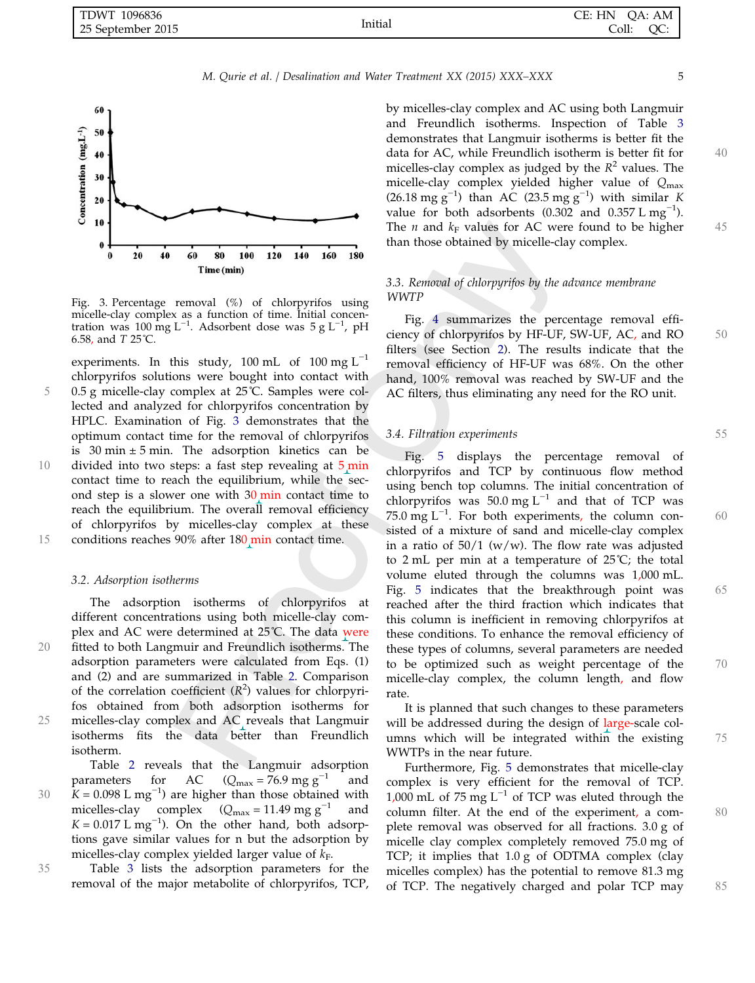| 1096836<br>TDWT   | $\cdots$ | CE: HN<br>OA: AM |
|-------------------|----------|------------------|
| 25 September 2015 | Initial  | QC:<br>Coll:     |



Fig. 3. Percentage removal (%) of chlorpyrifos using micelle-clay complex as a function of time. Initial concentration was 100 mg L<sup>−1</sup>. Adsorbent dose was 5 g L<sup>−1</sup>, pH 6.58, and T 25˚C.

experiments. In this study, 100 mL of 100 mg  $L^{-1}$ chlorpyrifos solutions were bought into contact with 5 0.5 g micelle-clay complex at 25˚C. Samples were collected and analyzed for chlorpyrifos concentration by HPLC. Examination of Fig. 3 demonstrates that the optimum contact time for the removal of chlorpyrifos is 30 min  $\pm$  5 min. The adsorption kinetics can be 10 divided into two steps: a fast step revealing at 5 min contact time to reach the equilibrium, while the second step is a slower one with  $30 \text{ min}$  contact time to reach the equilibrium. The overall removal efficiency of chlorpyrifos by micelles-clay complex at these 15 conditions reaches 90% after 180 min contact time.

#### 3.2. Adsorption isotherms

The adsorption isotherms of chlorpyrifos at different concentrations using both micelle-clay complex and AC were determined at 25˚C. The data were 20 fitted to both Langmuir and Freundlich isotherms. The adsorption parameters were calculated from Eqs. (1) and (2) and are summarized in Table 2. Comparison of the correlation coefficient  $(R^2)$  values for chlorpyrifos obtained from both adsorption isotherms for 25 micelles-clay complex and AC reveals that Langmuir isotherms fits the data better than Freundlich isotherm.

Table 2 reveals that the Langmuir adsorption parameters for AC ( $Q_{\text{max}} = 76.9 \text{ mg g}^{-1}$  and 30  $K = 0.098$  L mg<sup>-1</sup>) are higher than those obtained with<br>micelles-clay complex (Q - 11.49 mg  $\sigma^{-1}$  and micelles-clay complex  $(Q_{\text{max}} = 11.49 \text{ mg g}^{-1}$  and  $K = 0.017$  L mg<sup>-1</sup>). On the other hand, both adsorptions gave similar values for n but the adsorption by micelles-clay complex yielded larger value of  $k_F$ .

35 Table <sup>3</sup> lists the adsorption parameters for the removal of the major metabolite of chlorpyrifos, TCP,

by micelles-clay complex and AC using both Langmuir and Freundlich isotherms. Inspection of Table 3 demonstrates that Langmuir isotherms is better fit the data for AC, while Freundlich isotherm is better fit for 40 micelles-clay complex as judged by the  $R^2$  values. The micelle-clay complex yielded higher value of Qmax  $(26.18 \text{ mg g}^{-1})$  than AC  $(23.5 \text{ mg g}^{-1})$  with similar K value for both adsorbents  $(0.302 \text{ and } 0.357 \text{ L mg}^{-1})$ . The *n* and  $k_F$  values for AC were found to be higher 45 than those obtained by micelle-clay complex.

### 3.3. Removal of chlorpyrifos by the advance membrane WWTP

Fig. 4 summarizes the percentage removal efficiency of chlorpyrifos by HF-UF, SW-UF, AC, and RO 50 filters (see Section 2). The results indicate that the removal efficiency of HF-UF was 68%. On the other hand, 100% removal was reached by SW-UF and the AC filters, thus eliminating any need for the RO unit.

#### 3.4. Filtration experiments 55

Fig. 5 displays the percentage removal of chlorpyrifos and TCP by continuous flow method using bench top columns. The initial concentration of chlorpyrifos was 50.0 mg  $L^{-1}$  and that of TCP was  $75.0 \text{ mg L}^{-1}$ . For both experiments, the column con-<br>sisted of a mixture of sand and micelle-clay complex sisted of a mixture of sand and micelle-clay complex in a ratio of  $50/1$  (w/w). The flow rate was adjusted to 2 mL per min at a temperature of 25˚C; the total volume eluted through the columns was 1,000 mL. Fig. 5 indicates that the breakthrough point was 65 reached after the third fraction which indicates that this column is inefficient in removing chlorpyrifos at these conditions. To enhance the removal efficiency of these types of columns, several parameters are needed to be optimized such as weight percentage of the 70 micelle-clay complex, the column length, and flow rate.

It is planned that such changes to these parameters will be addressed during the design of large-scale columns which will be integrated within the existing 75 WWTPs in the near future.

Furthermore, Fig. 5 demonstrates that micelle-clay complex is very efficient for the removal of TCP. 1,000 mL of 75 mg  $L^{-1}$  of TCP was eluted through the column filter. At the end of the experiment, a complete removal was observed for all fractions. 3.0 g of micelle clay complex completely removed 75.0 mg of TCP; it implies that 1.0 g of ODTMA complex (clay micelles complex) has the potential to remove 81.3 mg of TCP. The negatively charged and polar TCP may 85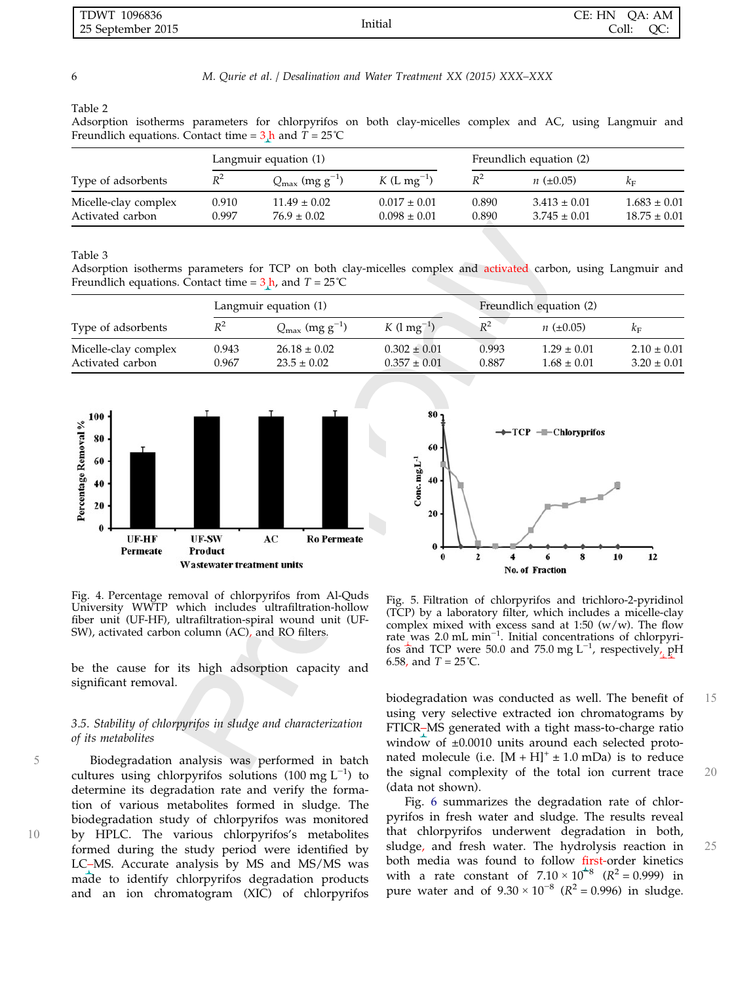| 1096836<br>  TDWT |         | HN<br>CE:<br>OA: AM |
|-------------------|---------|---------------------|
| 25 September 2015 | Initial | Coll:<br>QC:        |

Table 2

Adsorption isotherms parameters for chlorpyrifos on both clay-micelles complex and AC, using Langmuir and Freundlich equations. Contact time =  $3 \text{ h}$  and  $T = 25 \text{°C}$ 

|                                          | Langmuir equation (1) |                                        |                                      | Freundlich equation (2) |                                      |                                      |
|------------------------------------------|-----------------------|----------------------------------------|--------------------------------------|-------------------------|--------------------------------------|--------------------------------------|
| Type of adsorbents                       | $R^2$                 | $Q_{\text{max}}$ (mg g <sup>-1</sup> ) | $K(L \, mg^{-1})$                    | $R^2$                   | $n (=0.05)$                          | $k_{\rm F}$                          |
| Micelle-clay complex<br>Activated carbon | 0.910<br>0.997        | $11.49 \pm 0.02$<br>$76.9 \pm 0.02$    | $0.017 \pm 0.01$<br>$0.098 \pm 0.01$ | 0.890<br>0.890          | $3.413 \pm 0.01$<br>$3.745 \pm 0.01$ | $1.683 \pm 0.01$<br>$18.75 \pm 0.01$ |

Table 3

Adsorption isotherms parameters for TCP on both clay-micelles complex and activated carbon, using Langmuir and Freundlich equations. Contact time =  $3 \text{ h}$ , and  $T = 25 \text{°C}$ 

|                                          | Langmuir equation (1) |                                        |                                      | Freundlich equation (2) |                                    |                                    |
|------------------------------------------|-----------------------|----------------------------------------|--------------------------------------|-------------------------|------------------------------------|------------------------------------|
| Type of adsorbents                       | $R^2$                 | $Q_{\text{max}}$ (mg g <sup>-1</sup> ) | $K$ (1 mg <sup>-1</sup> )            | $R^2$                   | $n (=0.05)$                        | Kг                                 |
| Micelle-clay complex<br>Activated carbon | 0.943<br>0.967        | $26.18 \pm 0.02$<br>$23.5 \pm 0.02$    | $0.302 \pm 0.01$<br>$0.357 \pm 0.01$ | 0.993<br>0.887          | $1.29 \pm 0.01$<br>$1.68 \pm 0.01$ | $2.10 \pm 0.01$<br>$3.20 \pm 0.01$ |





Fig. 4. Percentage removal of chlorpyrifos from Al-Quds University WWTP which includes ultrafiltration-hollow fiber unit (UF-HF), ultrafiltration-spiral wound unit (UF-SW), activated carbon column (AC), and RO filters.

be the cause for its high adsorption capacity and significant removal.

#### 3.5. Stability of chlorpyrifos in sludge and characterization of its metabolites

5 Biodegradation analysis was performed in batch cultures using chlorpyrifos solutions  $(100 \text{ mg L}^{-1})$  to determine its degradation rate and verify the formation of various metabolites formed in sludge. The biodegradation study of chlorpyrifos was monitored 10 by HPLC. The various chlorpyrifos's metabolites formed during the study period were identified by LC–MS. Accurate analysis by MS and MS/MS was made to identify chlorpyrifos degradation products and an ion chromatogram (XIC) of chlorpyrifos

Fig. 5. Filtration of chlorpyrifos and trichloro-2-pyridinol (TCP) by a laboratory filter, which includes a micelle-clay complex mixed with excess sand at 1:50  $(w/w)$ . The flow rate was 2.0 mL min<sup>-1</sup>. Initial concentrations of chlorpyrifos and TCP were 50.0 and 75.0 mg L<sup>-1</sup>, respectively, pH 6.58, and  $T = 25^{\circ}C$ .

biodegradation was conducted as well. The benefit of 15 using very selective extracted ion chromatograms by FTICR–MS generated with a tight mass-to-charge ratio window of  $\pm 0.0010$  units around each selected protonated molecule (i.e.  $[M + H]^+ \pm 1.0$  mDa) is to reduce the signal complexity of the total ion current trace 20 (data not shown).

Fig. 6 summarizes the degradation rate of chlorpyrifos in fresh water and sludge. The results reveal that chlorpyrifos underwent degradation in both, sludge, and fresh water. The hydrolysis reaction in 25 both media was found to follow first-order kinetics with a rate constant of  $7.10 \times 10^{-8}$  ( $R^2 = 0.999$ ) in pure water and of  $9.30 \times 10^{-8}$  ( $R^2 = 0.996$ ) in sludge.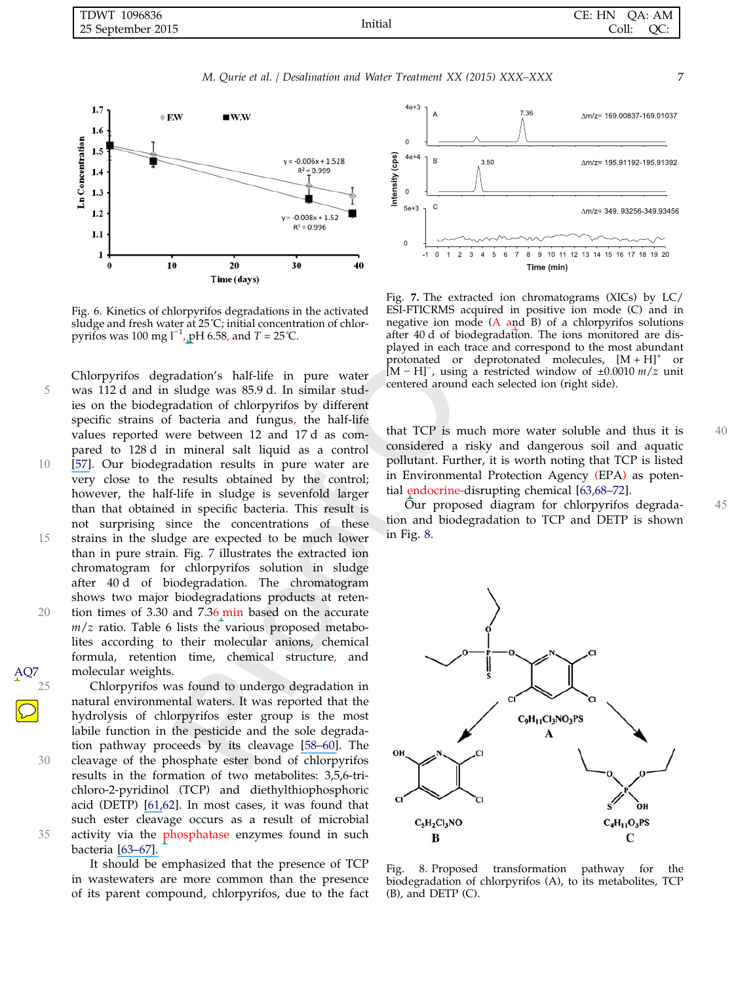

Fig. 6. Kinetics of chlorpyrifos degradations in the activated sludge and fresh water at 25°C; initial concentration of chlorpyrifos was 100 mg  $1^{-1}$ , pH 6.58, and T = 25 °C.

Chlorpyrifos degradation's half-life in pure water 5 was 112 d and in sludge was 85.9 d. In similar studies on the biodegradation of chlorpyrifos by different specific strains of bacteria and fungus, the half-life values reported were between 12 and 17 d as compared to 128 d in mineral salt liquid as a control 10 [\[57\]](https://www.researchgate.net/publication/261100001_Biodegradation_of_Chlorpyrifos_by_Microbial_Strains_Isolated_from_Agricultural_Wastewater?el=1_x_8&enrichId=rgreq-f6b5a74858dd4000c4d90479b77a495f-XXX&enrichSource=Y292ZXJQYWdlOzI4MzE2MzU3MztBUzoyODkyMTMwMjgyOTA1NjJAMTQ0NTk2NTE2NzgzOA==). Our biodegradation results in pure water are very close to the results obtained by the control; however, the half-life in sludge is sevenfold larger than that obtained in specific bacteria. This result is not surprising since the concentrations of these <sup>15</sup> strains in the sludge are expected to be much lower than in pure strain. Fig. 7 illustrates the extracted ion chromatogram for chlorpyrifos solution in sludge after 40 d of biodegradation. The chromatogram shows two major biodegradations products at reten-20 tion times of 3.30 and 7.36 min based on the accurate  $m/z$  ratio. Table 6 lists the various proposed metabolites according to their molecular anions, chemical formula, retention time, chemical structure, and

25 Chlorpyrifos was found to undergo degradation in natural environmental waters. It was reported that the hydrolysis of chlorpyrifos ester group is the most labile function in the pesticide and the sole degradation pathway proceeds by its cleavage [\[58](https://www.researchgate.net/publication/224911182_Hydrolysis_of_Chlorpyrifos_in_Natural_Waters_of_the_Chesapeake_Bay?el=1_x_8&enrichId=rgreq-f6b5a74858dd4000c4d90479b77a495f-XXX&enrichSource=Y292ZXJQYWdlOzI4MzE2MzU3MztBUzoyODkyMTMwMjgyOTA1NjJAMTQ0NTk2NTE2NzgzOA==)[–](https://www.researchgate.net/publication/11492170_Enzymes_involved_in_the_detoxification_of_organophosphorus_carbamate_and_pyrethroid_insecticides_through_hydrolysis?el=1_x_8&enrichId=rgreq-f6b5a74858dd4000c4d90479b77a495f-XXX&enrichSource=Y292ZXJQYWdlOzI4MzE2MzU3MztBUzoyODkyMTMwMjgyOTA1NjJAMTQ0NTk2NTE2NzgzOA==)[60\]](https://www.researchgate.net/publication/47301088_Hydrolysis_of_organophosphorus_compounds_by_microbial_enzymes?el=1_x_8&enrichId=rgreq-f6b5a74858dd4000c4d90479b77a495f-XXX&enrichSource=Y292ZXJQYWdlOzI4MzE2MzU3MztBUzoyODkyMTMwMjgyOTA1NjJAMTQ0NTk2NTE2NzgzOA==). The 30 cleavage of the phosphate ester bond of chlorpyrifos results in the formation of two metabolites: 3,5,6-trichloro-2-pyridinol (TCP) and diethylthiophosphoric acid (DETP) [\[61,](https://www.researchgate.net/publication/15521513_Environmental_Fate_of_Chlorpyrifos?el=1_x_8&enrichId=rgreq-f6b5a74858dd4000c4d90479b77a495f-XXX&enrichSource=Y292ZXJQYWdlOzI4MzE2MzU3MztBUzoyODkyMTMwMjgyOTA1NjJAMTQ0NTk2NTE2NzgzOA==)62]. In most cases, it was found that such ester cleavage occurs as a result of microbial 35 activity via the phosphatase enzymes found in such bacteria [\[6](https://www.researchgate.net/publication/24211039_Biodegradation_of_chlorpyrifos_and_its_hydrolysis_product_356-trichloro-2-pyridinol_by_Bacillus_pumilus_strain_C2A1?el=1_x_8&enrichId=rgreq-f6b5a74858dd4000c4d90479b77a495f-XXX&enrichSource=Y292ZXJQYWdlOzI4MzE2MzU3MztBUzoyODkyMTMwMjgyOTA1NjJAMTQ0NTk2NTE2NzgzOA==)[3–67\].](https://www.researchgate.net/publication/8415557_Biodegradation_of_Chlorpyrifos_by_Enterobacter_Strain_B-14_and_Its_Use_in_Bioremediation_of_Contaminated_Soils?el=1_x_8&enrichId=rgreq-f6b5a74858dd4000c4d90479b77a495f-XXX&enrichSource=Y292ZXJQYWdlOzI4MzE2MzU3MztBUzoyODkyMTMwMjgyOTA1NjJAMTQ0NTk2NTE2NzgzOA==)

molecular weights.

AQ7

It should be emphasized that the presence of TCP in wastewaters are more common than the presence of its parent compound, chlorpyrifos, due to the fact



Fig. 7. The extracted ion chromatograms (XICs) by LC/ ESI-FTICRMS acquired in positive ion mode (C) and in negative ion mode  $(A \text{ and } B)$  of a chlorpyrifos solutions after 40 d of biodegradation. The ions monitored are displayed in each trace and correspond to the most abundant protonated or deprotonated molecules,  $[M + H]^{+}$  or  $[M - H]$ , using a restricted window of ±0.0010 m/z unit centered around each selected ion (right side).

that TCP is much more water soluble and thus it is  $40$ considered a risky and dangerous soil and aquatic pollutant. Further, it is worth noting that TCP is listed in Environmental Protection Agency (EPA) as potential endocrine-disrupting chemical [63,68–72].

Our proposed diagram for chlorpyrifos degrada- 45 tion and biodegradation to TCP and DETP is shown in Fig. 8.



Fig. 8. Proposed transformation pathway for the biodegradation of chlorpyrifos (A), to its metabolites, TCP  $(B)$ , and DETP  $(C)$ .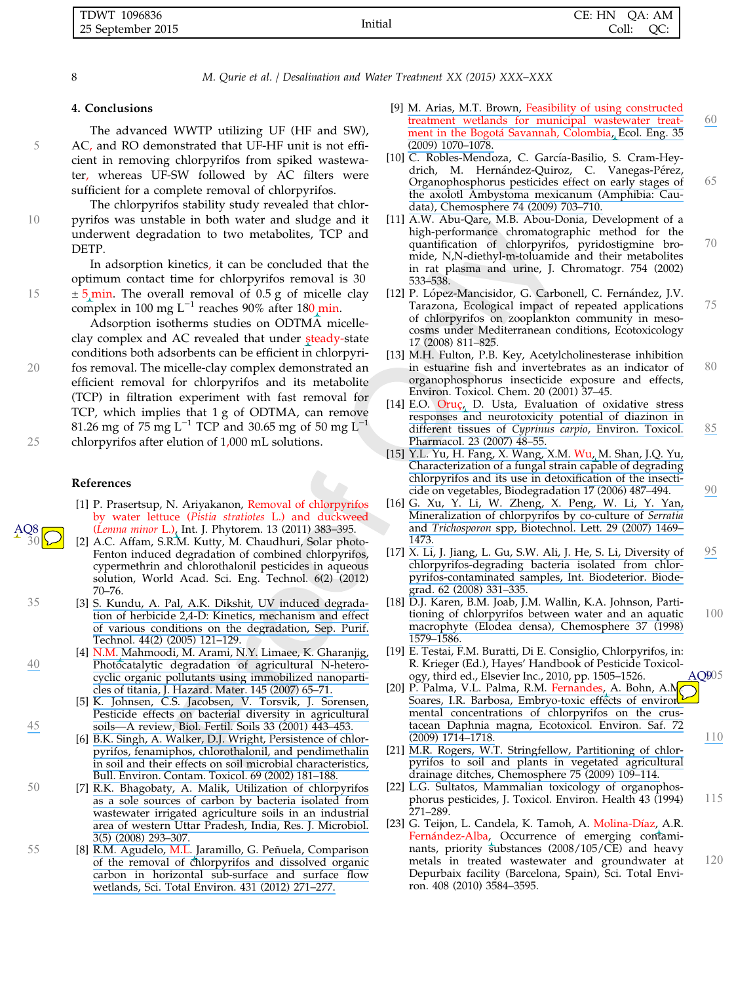| . TDWT<br>1096836 |         | CE: HN<br>OA: AM |
|-------------------|---------|------------------|
| 25 September 2015 | Initial | Coll:<br>QC.     |

#### 4. Conclusions

The advanced WWTP utilizing UF (HF and SW), 5 AC, and RO demonstrated that UF-HF unit is not efficient in removing chlorpyrifos from spiked wastewater, whereas UF-SW followed by AC filters were sufficient for a complete removal of chlorpyrifos.

The chlorpyrifos stability study revealed that chlor-10 pyrifos was unstable in both water and sludge and it underwent degradation to two metabolites, TCP and DETP.

In adsorption kinetics, it can be concluded that the optimum contact time for chlorpyrifos removal is 30 15 <sup>±</sup> 5 min. The overall removal of 0.5 g of micelle clay complex in 100 mg L−<sup>1</sup> reaches 90% after 180 min.

Adsorption isotherms studies on ODTMA micelleclay complex and AC revealed that under steady-state conditions both adsorbents can be efficient in chlorpyri-20 fos removal. The micelle-clay complex demonstrated an efficient removal for chlorpyrifos and its metabolite (TCP) in filtration experiment with fast removal for TCP, which implies that 1 g of ODTMA, can remove 81.26 mg of 75 mg L<sup>-1</sup> TCP and 30.65 mg of 50 mg L<sup>-1</sup> 25 chlorpyrifos after elution of 1,000 mL solutions.

#### References

- [1] P. Prasertsup, N. Ariyakanon, Removal of chlorpyrifos by water lettuce (Pistia stratiotes L.) and duckweed (Lemna minor L.), Int. J. Phytorem. 13 (2011) 383–395.
- [2] A.C. Affam, S.R.M. Kutty, M. Chaudhuri, Solar photo-Fenton induced degradation of combined chlorpyrifos, cypermethrin and chlorothalonil pesticides in aqueous solution, World Acad. Sci. Eng. Technol. 6(2) (2012) 70–76.
- 35 [3] [S. Kundu, A. Pal, A.K. Dikshit, UV induced degrada](https://www.researchgate.net/publication/222431661_UV_Induced_Degradation_of_Herbicide_24-D_Kinetics_Mechanism_and_Effect_of_Various_Conditions_on_the_Degradation?el=1_x_8&enrichId=rgreq-f6b5a74858dd4000c4d90479b77a495f-XXX&enrichSource=Y292ZXJQYWdlOzI4MzE2MzU3MztBUzoyODkyMTMwMjgyOTA1NjJAMTQ0NTk2NTE2NzgzOA==)[tion of herbicide 2,4-D: Kinetics, mechanism and effect](https://www.researchgate.net/publication/222431661_UV_Induced_Degradation_of_Herbicide_24-D_Kinetics_Mechanism_and_Effect_of_Various_Conditions_on_the_Degradation?el=1_x_8&enrichId=rgreq-f6b5a74858dd4000c4d90479b77a495f-XXX&enrichSource=Y292ZXJQYWdlOzI4MzE2MzU3MztBUzoyODkyMTMwMjgyOTA1NjJAMTQ0NTk2NTE2NzgzOA==) [of various conditions on the degradation, Sep. Purif.](https://www.researchgate.net/publication/222431661_UV_Induced_Degradation_of_Herbicide_24-D_Kinetics_Mechanism_and_Effect_of_Various_Conditions_on_the_Degradation?el=1_x_8&enrichId=rgreq-f6b5a74858dd4000c4d90479b77a495f-XXX&enrichSource=Y292ZXJQYWdlOzI4MzE2MzU3MztBUzoyODkyMTMwMjgyOTA1NjJAMTQ0NTk2NTE2NzgzOA==) [Technol. 44\(2\) \(2005\) 121–129.](https://www.researchgate.net/publication/222431661_UV_Induced_Degradation_of_Herbicide_24-D_Kinetics_Mechanism_and_Effect_of_Various_Conditions_on_the_Degradation?el=1_x_8&enrichId=rgreq-f6b5a74858dd4000c4d90479b77a495f-XXX&enrichSource=Y292ZXJQYWdlOzI4MzE2MzU3MztBUzoyODkyMTMwMjgyOTA1NjJAMTQ0NTk2NTE2NzgzOA==)
- [4] [N.M. Mahmoodi, M. Arami, N.Y. Limaee, K. Gharanjig,](https://www.researchgate.net/publication/6654193_Photocatalytic_Degradation_of_Agricultural_N-Heterocyclic_Organic_Pollutants_Using_Immobilized_Nanoparticles_of_Titania?el=1_x_8&enrichId=rgreq-f6b5a74858dd4000c4d90479b77a495f-XXX&enrichSource=Y292ZXJQYWdlOzI4MzE2MzU3MztBUzoyODkyMTMwMjgyOTA1NjJAMTQ0NTk2NTE2NzgzOA==) [40](https://www.researchgate.net/publication/6654193_Photocatalytic_Degradation_of_Agricultural_N-Heterocyclic_Organic_Pollutants_Using_Immobilized_Nanoparticles_of_Titania?el=1_x_8&enrichId=rgreq-f6b5a74858dd4000c4d90479b77a495f-XXX&enrichSource=Y292ZXJQYWdlOzI4MzE2MzU3MztBUzoyODkyMTMwMjgyOTA1NjJAMTQ0NTk2NTE2NzgzOA==) [Photocatalytic degradation of agricultural N-hetero](https://www.researchgate.net/publication/6654193_Photocatalytic_Degradation_of_Agricultural_N-Heterocyclic_Organic_Pollutants_Using_Immobilized_Nanoparticles_of_Titania?el=1_x_8&enrichId=rgreq-f6b5a74858dd4000c4d90479b77a495f-XXX&enrichSource=Y292ZXJQYWdlOzI4MzE2MzU3MztBUzoyODkyMTMwMjgyOTA1NjJAMTQ0NTk2NTE2NzgzOA==)[cyclic organic pollutants using immobilized nanoparti](https://www.researchgate.net/publication/6654193_Photocatalytic_Degradation_of_Agricultural_N-Heterocyclic_Organic_Pollutants_Using_Immobilized_Nanoparticles_of_Titania?el=1_x_8&enrichId=rgreq-f6b5a74858dd4000c4d90479b77a495f-XXX&enrichSource=Y292ZXJQYWdlOzI4MzE2MzU3MztBUzoyODkyMTMwMjgyOTA1NjJAMTQ0NTk2NTE2NzgzOA==)[cles of titania, J. Hazard. Mater. 145 \(2007\) 65–71.](https://www.researchgate.net/publication/6654193_Photocatalytic_Degradation_of_Agricultural_N-Heterocyclic_Organic_Pollutants_Using_Immobilized_Nanoparticles_of_Titania?el=1_x_8&enrichId=rgreq-f6b5a74858dd4000c4d90479b77a495f-XXX&enrichSource=Y292ZXJQYWdlOzI4MzE2MzU3MztBUzoyODkyMTMwMjgyOTA1NjJAMTQ0NTk2NTE2NzgzOA==)
- [5] [K. Johnsen, C.S. Jacobsen, V. Torsvik, J. Sorensen,](https://www.researchgate.net/publication/225913373_Pesticide_effects_on_bacterial_diversity_in_agricultural_soils_-_A_review?el=1_x_8&enrichId=rgreq-f6b5a74858dd4000c4d90479b77a495f-XXX&enrichSource=Y292ZXJQYWdlOzI4MzE2MzU3MztBUzoyODkyMTMwMjgyOTA1NjJAMTQ0NTk2NTE2NzgzOA==) [Pesticide effects on bacterial diversity in agricultural](https://www.researchgate.net/publication/225913373_Pesticide_effects_on_bacterial_diversity_in_agricultural_soils_-_A_review?el=1_x_8&enrichId=rgreq-f6b5a74858dd4000c4d90479b77a495f-XXX&enrichSource=Y292ZXJQYWdlOzI4MzE2MzU3MztBUzoyODkyMTMwMjgyOTA1NjJAMTQ0NTk2NTE2NzgzOA==) [45](https://www.researchgate.net/publication/225913373_Pesticide_effects_on_bacterial_diversity_in_agricultural_soils_-_A_review?el=1_x_8&enrichId=rgreq-f6b5a74858dd4000c4d90479b77a495f-XXX&enrichSource=Y292ZXJQYWdlOzI4MzE2MzU3MztBUzoyODkyMTMwMjgyOTA1NjJAMTQ0NTk2NTE2NzgzOA==) [soils—A review, Biol. Fertil. Soils 33 \(2001\) 443–453.](https://www.researchgate.net/publication/225913373_Pesticide_effects_on_bacterial_diversity_in_agricultural_soils_-_A_review?el=1_x_8&enrichId=rgreq-f6b5a74858dd4000c4d90479b77a495f-XXX&enrichSource=Y292ZXJQYWdlOzI4MzE2MzU3MztBUzoyODkyMTMwMjgyOTA1NjJAMTQ0NTk2NTE2NzgzOA==)
	- [6] [B.K. Singh, A. Walker, D.J. Wright, Persistence of chlor](https://www.researchgate.net/publication/11270196_Persistence_of_Chlorpyrifos_Fenamiphos_Chlorothalonil_and_Pendimethalin_in_Soil_and_Their_Effects_on_Soil_Microbial_Characteristics?el=1_x_8&enrichId=rgreq-f6b5a74858dd4000c4d90479b77a495f-XXX&enrichSource=Y292ZXJQYWdlOzI4MzE2MzU3MztBUzoyODkyMTMwMjgyOTA1NjJAMTQ0NTk2NTE2NzgzOA==)[pyrifos, fenamiphos, chlorothalonil, and pendimethalin](https://www.researchgate.net/publication/11270196_Persistence_of_Chlorpyrifos_Fenamiphos_Chlorothalonil_and_Pendimethalin_in_Soil_and_Their_Effects_on_Soil_Microbial_Characteristics?el=1_x_8&enrichId=rgreq-f6b5a74858dd4000c4d90479b77a495f-XXX&enrichSource=Y292ZXJQYWdlOzI4MzE2MzU3MztBUzoyODkyMTMwMjgyOTA1NjJAMTQ0NTk2NTE2NzgzOA==) [in soil and their effects on soil microbial characteristics,](https://www.researchgate.net/publication/11270196_Persistence_of_Chlorpyrifos_Fenamiphos_Chlorothalonil_and_Pendimethalin_in_Soil_and_Their_Effects_on_Soil_Microbial_Characteristics?el=1_x_8&enrichId=rgreq-f6b5a74858dd4000c4d90479b77a495f-XXX&enrichSource=Y292ZXJQYWdlOzI4MzE2MzU3MztBUzoyODkyMTMwMjgyOTA1NjJAMTQ0NTk2NTE2NzgzOA==) [Bull. Environ. Contam. Toxicol. 69 \(2002\) 181–188.](https://www.researchgate.net/publication/11270196_Persistence_of_Chlorpyrifos_Fenamiphos_Chlorothalonil_and_Pendimethalin_in_Soil_and_Their_Effects_on_Soil_Microbial_Characteristics?el=1_x_8&enrichId=rgreq-f6b5a74858dd4000c4d90479b77a495f-XXX&enrichSource=Y292ZXJQYWdlOzI4MzE2MzU3MztBUzoyODkyMTMwMjgyOTA1NjJAMTQ0NTk2NTE2NzgzOA==)
- <sup>50</sup> [7] [R.K. Bhagobaty, A. Malik, Utilization of chlorpyrifos](https://www.researchgate.net/publication/248701406_Utilization_of_chlorpyrifos_as_a_sole_source_of_carbon_by_bacteria_isolated_from_wastewater_irrigated_agricultural_soils_in_an_industrial_ares_of_western_Uttar_Pradesh_India?el=1_x_8&enrichId=rgreq-f6b5a74858dd4000c4d90479b77a495f-XXX&enrichSource=Y292ZXJQYWdlOzI4MzE2MzU3MztBUzoyODkyMTMwMjgyOTA1NjJAMTQ0NTk2NTE2NzgzOA==) [as a sole sources of carbon by bacteria isolated from](https://www.researchgate.net/publication/248701406_Utilization_of_chlorpyrifos_as_a_sole_source_of_carbon_by_bacteria_isolated_from_wastewater_irrigated_agricultural_soils_in_an_industrial_ares_of_western_Uttar_Pradesh_India?el=1_x_8&enrichId=rgreq-f6b5a74858dd4000c4d90479b77a495f-XXX&enrichSource=Y292ZXJQYWdlOzI4MzE2MzU3MztBUzoyODkyMTMwMjgyOTA1NjJAMTQ0NTk2NTE2NzgzOA==) [wastewater irrigated agriculture soils in an industrial](https://www.researchgate.net/publication/248701406_Utilization_of_chlorpyrifos_as_a_sole_source_of_carbon_by_bacteria_isolated_from_wastewater_irrigated_agricultural_soils_in_an_industrial_ares_of_western_Uttar_Pradesh_India?el=1_x_8&enrichId=rgreq-f6b5a74858dd4000c4d90479b77a495f-XXX&enrichSource=Y292ZXJQYWdlOzI4MzE2MzU3MztBUzoyODkyMTMwMjgyOTA1NjJAMTQ0NTk2NTE2NzgzOA==) [area of western Uttar Pradesh, India, Res. J. Microbiol.](https://www.researchgate.net/publication/248701406_Utilization_of_chlorpyrifos_as_a_sole_source_of_carbon_by_bacteria_isolated_from_wastewater_irrigated_agricultural_soils_in_an_industrial_ares_of_western_Uttar_Pradesh_India?el=1_x_8&enrichId=rgreq-f6b5a74858dd4000c4d90479b77a495f-XXX&enrichSource=Y292ZXJQYWdlOzI4MzE2MzU3MztBUzoyODkyMTMwMjgyOTA1NjJAMTQ0NTk2NTE2NzgzOA==) [3\(5\) \(2008\) 293–307.](https://www.researchgate.net/publication/248701406_Utilization_of_chlorpyrifos_as_a_sole_source_of_carbon_by_bacteria_isolated_from_wastewater_irrigated_agricultural_soils_in_an_industrial_ares_of_western_Uttar_Pradesh_India?el=1_x_8&enrichId=rgreq-f6b5a74858dd4000c4d90479b77a495f-XXX&enrichSource=Y292ZXJQYWdlOzI4MzE2MzU3MztBUzoyODkyMTMwMjgyOTA1NjJAMTQ0NTk2NTE2NzgzOA==)
- 55 [8] R.M. Agudelo, M.L. Jaramillo, G. Peñuela, Comparison [of the removal of chlorpyrifos and dissolved organic](https://www.researchgate.net/publication/225295381_Comparison_of_the_removal_of_chlorpyrifos_and_dissolved_organic_carbon_in_horizontal_sub-surface_and_surface_flow_wetlands?el=1_x_8&enrichId=rgreq-f6b5a74858dd4000c4d90479b77a495f-XXX&enrichSource=Y292ZXJQYWdlOzI4MzE2MzU3MztBUzoyODkyMTMwMjgyOTA1NjJAMTQ0NTk2NTE2NzgzOA==) [carbon in horizontal sub-surface and surface flow](https://www.researchgate.net/publication/225295381_Comparison_of_the_removal_of_chlorpyrifos_and_dissolved_organic_carbon_in_horizontal_sub-surface_and_surface_flow_wetlands?el=1_x_8&enrichId=rgreq-f6b5a74858dd4000c4d90479b77a495f-XXX&enrichSource=Y292ZXJQYWdlOzI4MzE2MzU3MztBUzoyODkyMTMwMjgyOTA1NjJAMTQ0NTk2NTE2NzgzOA==) [wetlands, Sci. Total Environ. 431 \(2012\) 271–277.](https://www.researchgate.net/publication/225295381_Comparison_of_the_removal_of_chlorpyrifos_and_dissolved_organic_carbon_in_horizontal_sub-surface_and_surface_flow_wetlands?el=1_x_8&enrichId=rgreq-f6b5a74858dd4000c4d90479b77a495f-XXX&enrichSource=Y292ZXJQYWdlOzI4MzE2MzU3MztBUzoyODkyMTMwMjgyOTA1NjJAMTQ0NTk2NTE2NzgzOA==)
- [9] M. Arias, M.T. Brown, [Feasibility of using constructed](https://www.researchgate.net/publication/248412862_Feasibility_of_using_constructed_treatment_wetlands_for_municipal_wastewater_treatment_in_the_Bogota_Savannah_Colombia?el=1_x_8&enrichId=rgreq-f6b5a74858dd4000c4d90479b77a495f-XXX&enrichSource=Y292ZXJQYWdlOzI4MzE2MzU3MztBUzoyODkyMTMwMjgyOTA1NjJAMTQ0NTk2NTE2NzgzOA==) [treatment wetlands for municipal wastewater treat-](https://www.researchgate.net/publication/248412862_Feasibility_of_using_constructed_treatment_wetlands_for_municipal_wastewater_treatment_in_the_Bogota_Savannah_Colombia?el=1_x_8&enrichId=rgreq-f6b5a74858dd4000c4d90479b77a495f-XXX&enrichSource=Y292ZXJQYWdlOzI4MzE2MzU3MztBUzoyODkyMTMwMjgyOTA1NjJAMTQ0NTk2NTE2NzgzOA==)<br>ment in the Bogotá [Savannah, Colombia, Ecol. Eng. 35](https://www.researchgate.net/publication/248412862_Feasibility_of_using_constructed_treatment_wetlands_for_municipal_wastewater_treatment_in_the_Bogota_Savannah_Colombia?el=1_x_8&enrichId=rgreq-f6b5a74858dd4000c4d90479b77a495f-XXX&enrichSource=Y292ZXJQYWdlOzI4MzE2MzU3MztBUzoyODkyMTMwMjgyOTA1NjJAMTQ0NTk2NTE2NzgzOA==) [\(2009\) 1070–1078.](https://www.researchgate.net/publication/248412862_Feasibility_of_using_constructed_treatment_wetlands_for_municipal_wastewater_treatment_in_the_Bogota_Savannah_Colombia?el=1_x_8&enrichId=rgreq-f6b5a74858dd4000c4d90479b77a495f-XXX&enrichSource=Y292ZXJQYWdlOzI4MzE2MzU3MztBUzoyODkyMTMwMjgyOTA1NjJAMTQ0NTk2NTE2NzgzOA==)
- [10] C. Robles-Mendoza, C. García-Basilio, S. Cram-Heydrich, M. Hernández-Quiroz, C. Vanegas-Pérez, [Organophosphorus pesticides effect on early stages of](https://www.researchgate.net/publication/222173492_Organophosphorus_pesticides_effect_on_early_stages_of_the_axolotl_Ambystoma_mexicanum_Amphibia_Caudata?el=1_x_8&enrichId=rgreq-f6b5a74858dd4000c4d90479b77a495f-XXX&enrichSource=Y292ZXJQYWdlOzI4MzE2MzU3MztBUzoyODkyMTMwMjgyOTA1NjJAMTQ0NTk2NTE2NzgzOA==) <sup>65</sup> [the axolotl Ambystoma mexicanum \(Amphibia: Cau](https://www.researchgate.net/publication/222173492_Organophosphorus_pesticides_effect_on_early_stages_of_the_axolotl_Ambystoma_mexicanum_Amphibia_Caudata?el=1_x_8&enrichId=rgreq-f6b5a74858dd4000c4d90479b77a495f-XXX&enrichSource=Y292ZXJQYWdlOzI4MzE2MzU3MztBUzoyODkyMTMwMjgyOTA1NjJAMTQ0NTk2NTE2NzgzOA==)[data\), Chemosphere 74 \(2009\) 703–710.](https://www.researchgate.net/publication/222173492_Organophosphorus_pesticides_effect_on_early_stages_of_the_axolotl_Ambystoma_mexicanum_Amphibia_Caudata?el=1_x_8&enrichId=rgreq-f6b5a74858dd4000c4d90479b77a495f-XXX&enrichSource=Y292ZXJQYWdlOzI4MzE2MzU3MztBUzoyODkyMTMwMjgyOTA1NjJAMTQ0NTk2NTE2NzgzOA==)
- [11] A.W. Abu-Qare, M.B. Abou-Donia, Development of a high-performance chromatographic method for the quantification of chlorpyrifos, pyridostigmine bro- <sup>70</sup> mide, N,N-diethyl-m-toluamide and their metabolites in rat plasma and urine, J. Chromatogr. 754 (2002) 533–538.
- [12] P. López-Mancisidor, G. Carbonell, C. Fernández, J.V. Tarazona, Ecological impact of repeated applications <sup>75</sup> of chlorpyrifos on zooplankton community in mesocosms under Mediterranean conditions, Ecotoxicology 17 (2008) 811–825.
- [13] M.H. Fulton, P.B. Key, Acetylcholinesterase inhibition in estuarine fish and invertebrates as an indicator of  $80$ organophosphorus insecticide exposure and effects, Environ. Toxicol. Chem. 20 (2001) 37–45.
- [14] E.O. Oruç, D. Usta, Evaluation of oxidative stress [responses and neurotoxicity potential of diazinon in](https://www.researchgate.net/publication/51516061_Evaluation_of_oxidative_stress_responses_and_neurotoxicity_potential_of_diazinon_in_different_tissues_of_Cyprinus_carpio?el=1_x_8&enrichId=rgreq-f6b5a74858dd4000c4d90479b77a495f-XXX&enrichSource=Y292ZXJQYWdlOzI4MzE2MzU3MztBUzoyODkyMTMwMjgyOTA1NjJAMTQ0NTk2NTE2NzgzOA==) [different tissues of](https://www.researchgate.net/publication/51516061_Evaluation_of_oxidative_stress_responses_and_neurotoxicity_potential_of_diazinon_in_different_tissues_of_Cyprinus_carpio?el=1_x_8&enrichId=rgreq-f6b5a74858dd4000c4d90479b77a495f-XXX&enrichSource=Y292ZXJQYWdlOzI4MzE2MzU3MztBUzoyODkyMTMwMjgyOTA1NjJAMTQ0NTk2NTE2NzgzOA==) Cyprinus carpio, Environ. Toxicol. [85](https://www.researchgate.net/publication/51516061_Evaluation_of_oxidative_stress_responses_and_neurotoxicity_potential_of_diazinon_in_different_tissues_of_Cyprinus_carpio?el=1_x_8&enrichId=rgreq-f6b5a74858dd4000c4d90479b77a495f-XXX&enrichSource=Y292ZXJQYWdlOzI4MzE2MzU3MztBUzoyODkyMTMwMjgyOTA1NjJAMTQ0NTk2NTE2NzgzOA==) [Pharmacol. 23 \(2007\) 48–55.](https://www.researchgate.net/publication/51516061_Evaluation_of_oxidative_stress_responses_and_neurotoxicity_potential_of_diazinon_in_different_tissues_of_Cyprinus_carpio?el=1_x_8&enrichId=rgreq-f6b5a74858dd4000c4d90479b77a495f-XXX&enrichSource=Y292ZXJQYWdlOzI4MzE2MzU3MztBUzoyODkyMTMwMjgyOTA1NjJAMTQ0NTk2NTE2NzgzOA==)
- [15] [Y.L. Yu, H. Fang, X. Wang, X.M.](https://www.researchgate.net/publication/7292239_Characterization_of_a_fungal_strain_capable_of_degrading_chlorpyrifos_and_its_use_in_detoxification_of_the_insecticide_on_vegetables?el=1_x_8&enrichId=rgreq-f6b5a74858dd4000c4d90479b77a495f-XXX&enrichSource=Y292ZXJQYWdlOzI4MzE2MzU3MztBUzoyODkyMTMwMjgyOTA1NjJAMTQ0NTk2NTE2NzgzOA==) Wu, M. Shan, J.Q. Yu, [Characterization of a fungal strain capable of degrading](https://www.researchgate.net/publication/7292239_Characterization_of_a_fungal_strain_capable_of_degrading_chlorpyrifos_and_its_use_in_detoxification_of_the_insecticide_on_vegetables?el=1_x_8&enrichId=rgreq-f6b5a74858dd4000c4d90479b77a495f-XXX&enrichSource=Y292ZXJQYWdlOzI4MzE2MzU3MztBUzoyODkyMTMwMjgyOTA1NjJAMTQ0NTk2NTE2NzgzOA==) [chlorpyrifos and its use in detoxification of the insecti-](https://www.researchgate.net/publication/7292239_Characterization_of_a_fungal_strain_capable_of_degrading_chlorpyrifos_and_its_use_in_detoxification_of_the_insecticide_on_vegetables?el=1_x_8&enrichId=rgreq-f6b5a74858dd4000c4d90479b77a495f-XXX&enrichSource=Y292ZXJQYWdlOzI4MzE2MzU3MztBUzoyODkyMTMwMjgyOTA1NjJAMTQ0NTk2NTE2NzgzOA==)
- cide on vegetables, Biodegradation 17 (2006) 487–494.  $90$ <br>[16] [G. Xu, Y. Li, W. Zheng, X. Peng, W. Li, Y. Yan,](https://www.researchgate.net/publication/6227632_Mineralization_of_chlorpyrifos_by_co-culture_of_Serratia_and_Trichosporon_spp?el=1_x_8&enrichId=rgreq-f6b5a74858dd4000c4d90479b77a495f-XXX&enrichSource=Y292ZXJQYWdlOzI4MzE2MzU3MztBUzoyODkyMTMwMjgyOTA1NjJAMTQ0NTk2NTE2NzgzOA==) [Mineralization of chlorpyrifos by co-culture of](https://www.researchgate.net/publication/6227632_Mineralization_of_chlorpyrifos_by_co-culture_of_Serratia_and_Trichosporon_spp?el=1_x_8&enrichId=rgreq-f6b5a74858dd4000c4d90479b77a495f-XXX&enrichSource=Y292ZXJQYWdlOzI4MzE2MzU3MztBUzoyODkyMTMwMjgyOTA1NjJAMTQ0NTk2NTE2NzgzOA==) Serratia and Trichosporon [spp, Biotechnol. Lett. 29 \(2007\) 1469–](https://www.researchgate.net/publication/6227632_Mineralization_of_chlorpyrifos_by_co-culture_of_Serratia_and_Trichosporon_spp?el=1_x_8&enrichId=rgreq-f6b5a74858dd4000c4d90479b77a495f-XXX&enrichSource=Y292ZXJQYWdlOzI4MzE2MzU3MztBUzoyODkyMTMwMjgyOTA1NjJAMTQ0NTk2NTE2NzgzOA==) [1473.](https://www.researchgate.net/publication/6227632_Mineralization_of_chlorpyrifos_by_co-culture_of_Serratia_and_Trichosporon_spp?el=1_x_8&enrichId=rgreq-f6b5a74858dd4000c4d90479b77a495f-XXX&enrichSource=Y292ZXJQYWdlOzI4MzE2MzU3MztBUzoyODkyMTMwMjgyOTA1NjJAMTQ0NTk2NTE2NzgzOA==)
- [17]  $\overline{X}$ . Li, J. Jiang, L. Gu, S.W. Ali, J. He, S. Li, Diversity of  $95$ [chlorpyrifos-degrading bacteria isolated from chlor](https://www.researchgate.net/publication/223318604_Diversity_of_chlorpyrifos-degrading_bacteria_isolated_from_chlorpyrifos-contaminated_samples?el=1_x_8&enrichId=rgreq-f6b5a74858dd4000c4d90479b77a495f-XXX&enrichSource=Y292ZXJQYWdlOzI4MzE2MzU3MztBUzoyODkyMTMwMjgyOTA1NjJAMTQ0NTk2NTE2NzgzOA==)[pyrifos-contaminated samples, Int. Biodeterior. Biode](https://www.researchgate.net/publication/223318604_Diversity_of_chlorpyrifos-degrading_bacteria_isolated_from_chlorpyrifos-contaminated_samples?el=1_x_8&enrichId=rgreq-f6b5a74858dd4000c4d90479b77a495f-XXX&enrichSource=Y292ZXJQYWdlOzI4MzE2MzU3MztBUzoyODkyMTMwMjgyOTA1NjJAMTQ0NTk2NTE2NzgzOA==)[grad. 62 \(2008\) 331–335.](https://www.researchgate.net/publication/223318604_Diversity_of_chlorpyrifos-degrading_bacteria_isolated_from_chlorpyrifos-contaminated_samples?el=1_x_8&enrichId=rgreq-f6b5a74858dd4000c4d90479b77a495f-XXX&enrichSource=Y292ZXJQYWdlOzI4MzE2MzU3MztBUzoyODkyMTMwMjgyOTA1NjJAMTQ0NTk2NTE2NzgzOA==)
- [18] D.J. Karen, B.M. Joab, J.M. Wallin, K.A. Johnson, Parti[tioning of chlorpyrifos between water and an aquatic](https://www.researchgate.net/publication/223650846_Partitioning_of_chlorpyrifos_between_water_and_an_aquatic_macrophyte_Elodea_densa?el=1_x_8&enrichId=rgreq-f6b5a74858dd4000c4d90479b77a495f-XXX&enrichSource=Y292ZXJQYWdlOzI4MzE2MzU3MztBUzoyODkyMTMwMjgyOTA1NjJAMTQ0NTk2NTE2NzgzOA==) 100 [macrophyte \(Elodea densa\), Chemosphere 37 \(1998\)](https://www.researchgate.net/publication/223650846_Partitioning_of_chlorpyrifos_between_water_and_an_aquatic_macrophyte_Elodea_densa?el=1_x_8&enrichId=rgreq-f6b5a74858dd4000c4d90479b77a495f-XXX&enrichSource=Y292ZXJQYWdlOzI4MzE2MzU3MztBUzoyODkyMTMwMjgyOTA1NjJAMTQ0NTk2NTE2NzgzOA==) [1579–1586.](https://www.researchgate.net/publication/223650846_Partitioning_of_chlorpyrifos_between_water_and_an_aquatic_macrophyte_Elodea_densa?el=1_x_8&enrichId=rgreq-f6b5a74858dd4000c4d90479b77a495f-XXX&enrichSource=Y292ZXJQYWdlOzI4MzE2MzU3MztBUzoyODkyMTMwMjgyOTA1NjJAMTQ0NTk2NTE2NzgzOA==)
- [19] E. Testai, F.M. Buratti, Di E. Consiglio, Chlorpyrifos, in: R. Krieger (Ed.), Hayes' Handbook of Pesticide Toxicology, third ed., Elsevier Inc., 2010, pp. 1505–1526.  $AO905$
- ogy, third ed., Elsevier Inc., 2010, pp. 1505–1526. AQ905<br>[20] [P. Palma, V.L. Palma, R.M.](https://www.researchgate.net/publication/26253279_Embryo-toxic_effects_of_environmental_concentrations_of_chlorpyrifos_on_the_crustacean_Daphnia_magna?el=1_x_8&enrichId=rgreq-f6b5a74858dd4000c4d90479b77a495f-XXX&enrichSource=Y292ZXJQYWdlOzI4MzE2MzU3MztBUzoyODkyMTMwMjgyOTA1NjJAMTQ0NTk2NTE2NzgzOA==) Fernandes, A. Bohn, A.M. [Soares, I.R. Barbosa, Embryo-toxic effects of environ](https://www.researchgate.net/publication/26253279_Embryo-toxic_effects_of_environmental_concentrations_of_chlorpyrifos_on_the_crustacean_Daphnia_magna?el=1_x_8&enrichId=rgreq-f6b5a74858dd4000c4d90479b77a495f-XXX&enrichSource=Y292ZXJQYWdlOzI4MzE2MzU3MztBUzoyODkyMTMwMjgyOTA1NjJAMTQ0NTk2NTE2NzgzOA==)[mental concentrations of chlorpyrifos on the crus](https://www.researchgate.net/publication/26253279_Embryo-toxic_effects_of_environmental_concentrations_of_chlorpyrifos_on_the_crustacean_Daphnia_magna?el=1_x_8&enrichId=rgreq-f6b5a74858dd4000c4d90479b77a495f-XXX&enrichSource=Y292ZXJQYWdlOzI4MzE2MzU3MztBUzoyODkyMTMwMjgyOTA1NjJAMTQ0NTk2NTE2NzgzOA==)[tacean Daphnia magna, Ecotoxicol. Environ. Saf. 72](https://www.researchgate.net/publication/26253279_Embryo-toxic_effects_of_environmental_concentrations_of_chlorpyrifos_on_the_crustacean_Daphnia_magna?el=1_x_8&enrichId=rgreq-f6b5a74858dd4000c4d90479b77a495f-XXX&enrichSource=Y292ZXJQYWdlOzI4MzE2MzU3MztBUzoyODkyMTMwMjgyOTA1NjJAMTQ0NTk2NTE2NzgzOA==)<br>(2009) 1714-1718.
- [\(2009\) 1714–1718.](https://www.researchgate.net/publication/26253279_Embryo-toxic_effects_of_environmental_concentrations_of_chlorpyrifos_on_the_crustacean_Daphnia_magna?el=1_x_8&enrichId=rgreq-f6b5a74858dd4000c4d90479b77a495f-XXX&enrichSource=Y292ZXJQYWdlOzI4MzE2MzU3MztBUzoyODkyMTMwMjgyOTA1NjJAMTQ0NTk2NTE2NzgzOA==)<br>[21] [M.R. Rogers, W.T. Stringfellow, Partitioning of chlor](https://www.researchgate.net/publication/23685059_Partitioning_of_chlorpyrifos_to_soil_and_plants_in_vegetated_agricultural_drainage_ditches?el=1_x_8&enrichId=rgreq-f6b5a74858dd4000c4d90479b77a495f-XXX&enrichSource=Y292ZXJQYWdlOzI4MzE2MzU3MztBUzoyODkyMTMwMjgyOTA1NjJAMTQ0NTk2NTE2NzgzOA==)[pyrifos to soil and plants in vegetated agricultural](https://www.researchgate.net/publication/23685059_Partitioning_of_chlorpyrifos_to_soil_and_plants_in_vegetated_agricultural_drainage_ditches?el=1_x_8&enrichId=rgreq-f6b5a74858dd4000c4d90479b77a495f-XXX&enrichSource=Y292ZXJQYWdlOzI4MzE2MzU3MztBUzoyODkyMTMwMjgyOTA1NjJAMTQ0NTk2NTE2NzgzOA==) [drainage ditches, Chemosphere 75 \(2009\) 109–114.](https://www.researchgate.net/publication/23685059_Partitioning_of_chlorpyrifos_to_soil_and_plants_in_vegetated_agricultural_drainage_ditches?el=1_x_8&enrichId=rgreq-f6b5a74858dd4000c4d90479b77a495f-XXX&enrichSource=Y292ZXJQYWdlOzI4MzE2MzU3MztBUzoyODkyMTMwMjgyOTA1NjJAMTQ0NTk2NTE2NzgzOA==)
- [22] L.G. Sultatos, Mammalian toxicology of organophosphorus pesticides, J. Toxicol. Environ. Health 43 (1994) 115 271–289.
- [23] G. Teijon, L. Candela, K. Tamoh, A. Molina-Díaz, A.R. Fernández-Alba, Occurrence of emerging contaminants, priority substances  $(2008/105/\tilde{CE})$  and heavy metals in treated wastewater and groundwater at <sup>120</sup> Depurbaix facility (Barcelona, Spain), Sci. Total Environ. 408 (2010) 3584–3595.

AQ8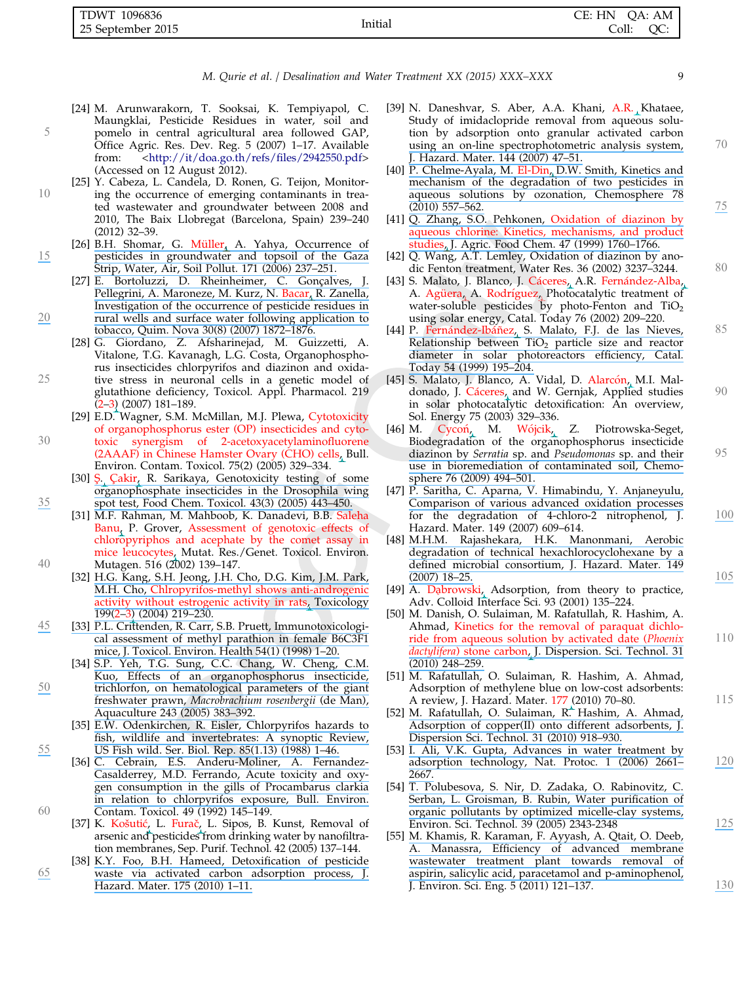| TDWT 1096836      |         | CE: HN QA: AM |
|-------------------|---------|---------------|
| 25 September 2015 | Initial | Coll: QC:     |

- [24] M. Arunwarakorn, T. Sooksai, K. Tempiyapol, C. Maungklai, Pesticide Residues in water, soil and <sup>5</sup> pomelo in central agricultural area followed GAP, Office Agric. Res. Dev. Reg. 5 (2007) 1–17. Available from: [<http://it/doa.go.th/refs/files/2942550.pdf](http://it/doa.go.th/refs/files/2942550.pdf)> (Accessed on 12 August 2012).
- [25] Y. Cabeza, L. Candela, D. Ronen, G. Teijon, Monitor-10 ing the occurrence of emerging contaminants in treated wastewater and groundwater between 2008 and 2010, The Baix Llobregat (Barcelona, Spain) 239–240 (2012) 32–39.
- [26] B.H. Shomar, G. Müller, A. Yahya, Occurrence of [15](https://www.researchgate.net/publication/226554684_Occurrence_of_Pesticides_in_Groundwater_and_Topsoil_of_the_Gaza_Strip?el=1_x_8&enrichId=rgreq-f6b5a74858dd4000c4d90479b77a495f-XXX&enrichSource=Y292ZXJQYWdlOzI4MzE2MzU3MztBUzoyODkyMTMwMjgyOTA1NjJAMTQ0NTk2NTE2NzgzOA==) [pesticides in groundwater and topsoil of the Gaza](https://www.researchgate.net/publication/226554684_Occurrence_of_Pesticides_in_Groundwater_and_Topsoil_of_the_Gaza_Strip?el=1_x_8&enrichId=rgreq-f6b5a74858dd4000c4d90479b77a495f-XXX&enrichSource=Y292ZXJQYWdlOzI4MzE2MzU3MztBUzoyODkyMTMwMjgyOTA1NjJAMTQ0NTk2NTE2NzgzOA==) [Strip, Water, Air, Soil Pollut. 171 \(2006\) 237–251.](https://www.researchgate.net/publication/226554684_Occurrence_of_Pesticides_in_Groundwater_and_Topsoil_of_the_Gaza_Strip?el=1_x_8&enrichId=rgreq-f6b5a74858dd4000c4d90479b77a495f-XXX&enrichSource=Y292ZXJQYWdlOzI4MzE2MzU3MztBUzoyODkyMTMwMjgyOTA1NjJAMTQ0NTk2NTE2NzgzOA==)
- [27] E. Bortoluzzi, D. Rheinheimer, C. Gonçalves, J. [Pellegrini, A. Maroneze, M. Kurz, N.](https://www.researchgate.net/publication/228685153_Investigation_of_the_occurrence_of_pesticide_residues_in_rural_wells_and_surface_water_following_application_to_tobacco?el=1_x_8&enrichId=rgreq-f6b5a74858dd4000c4d90479b77a495f-XXX&enrichSource=Y292ZXJQYWdlOzI4MzE2MzU3MztBUzoyODkyMTMwMjgyOTA1NjJAMTQ0NTk2NTE2NzgzOA==) Bacar, R. Zanella, [Investigation of the occurrence of pesticide residues in](https://www.researchgate.net/publication/228685153_Investigation_of_the_occurrence_of_pesticide_residues_in_rural_wells_and_surface_water_following_application_to_tobacco?el=1_x_8&enrichId=rgreq-f6b5a74858dd4000c4d90479b77a495f-XXX&enrichSource=Y292ZXJQYWdlOzI4MzE2MzU3MztBUzoyODkyMTMwMjgyOTA1NjJAMTQ0NTk2NTE2NzgzOA==) [20](https://www.researchgate.net/publication/228685153_Investigation_of_the_occurrence_of_pesticide_residues_in_rural_wells_and_surface_water_following_application_to_tobacco?el=1_x_8&enrichId=rgreq-f6b5a74858dd4000c4d90479b77a495f-XXX&enrichSource=Y292ZXJQYWdlOzI4MzE2MzU3MztBUzoyODkyMTMwMjgyOTA1NjJAMTQ0NTk2NTE2NzgzOA==) [rural wells and surface water following application to](https://www.researchgate.net/publication/228685153_Investigation_of_the_occurrence_of_pesticide_residues_in_rural_wells_and_surface_water_following_application_to_tobacco?el=1_x_8&enrichId=rgreq-f6b5a74858dd4000c4d90479b77a495f-XXX&enrichSource=Y292ZXJQYWdlOzI4MzE2MzU3MztBUzoyODkyMTMwMjgyOTA1NjJAMTQ0NTk2NTE2NzgzOA==) [tobacco, Quim. Nova 30\(8\) \(2007\) 1872–1876.](https://www.researchgate.net/publication/228685153_Investigation_of_the_occurrence_of_pesticide_residues_in_rural_wells_and_surface_water_following_application_to_tobacco?el=1_x_8&enrichId=rgreq-f6b5a74858dd4000c4d90479b77a495f-XXX&enrichSource=Y292ZXJQYWdlOzI4MzE2MzU3MztBUzoyODkyMTMwMjgyOTA1NjJAMTQ0NTk2NTE2NzgzOA==)
- [28] G. Giordano, Z. Afsharinejad, M. Guizzetti, A. Vitalone, T.G. Kavanagh, L.G. Costa, Organophosphorus insecticides chlorpyrifos and diazinon and oxida-<sup>25</sup> tive stress in neuronal cells in a genetic model of glutathione deficiency, Toxicol. Appl. Pharmacol. 219 (2–3) (2007) 181–189.
	- [29] E.D. Wagner, S.M. McMillan, M.J. Plewa, Cytotoxicity of organophosphorus ester (OP) insecticides and cyto-
- <sup>30</sup> toxic synergism of 2-acetoxyacetylaminofluorene (2AAAF) in Chinese Hamster Ovary (CHO) cells, Bull. Environ. Contam. Toxicol. 75(2) (2005) 329–334.
	- [30] Ş. Çakir, R. Sarikaya, Genotoxicity testing of some [organophosphate insecticides in the Drosophila wing](https://www.researchgate.net/publication/8050831_Genotoxicity_testing_of_some_organophosphate_insecticides_in_the_Drosophila_wing_spot_test?el=1_x_8&enrichId=rgreq-f6b5a74858dd4000c4d90479b77a495f-XXX&enrichSource=Y292ZXJQYWdlOzI4MzE2MzU3MztBUzoyODkyMTMwMjgyOTA1NjJAMTQ0NTk2NTE2NzgzOA==)
- [35](https://www.researchgate.net/publication/8050831_Genotoxicity_testing_of_some_organophosphate_insecticides_in_the_Drosophila_wing_spot_test?el=1_x_8&enrichId=rgreq-f6b5a74858dd4000c4d90479b77a495f-XXX&enrichSource=Y292ZXJQYWdlOzI4MzE2MzU3MztBUzoyODkyMTMwMjgyOTA1NjJAMTQ0NTk2NTE2NzgzOA==) [spot test, Food Chem. Toxicol. 43\(3\) \(2005\) 443–450.](https://www.researchgate.net/publication/8050831_Genotoxicity_testing_of_some_organophosphate_insecticides_in_the_Drosophila_wing_spot_test?el=1_x_8&enrichId=rgreq-f6b5a74858dd4000c4d90479b77a495f-XXX&enrichSource=Y292ZXJQYWdlOzI4MzE2MzU3MztBUzoyODkyMTMwMjgyOTA1NjJAMTQ0NTk2NTE2NzgzOA==) [31] M.F. Rahman, M. Mahboob, K. Danadevi, B.B. Saleha Banu, P. Grover, Assessment of genotoxic effects of chloropyriphos and acephate by the comet assay in mice leucocytes, Mutat. Res./Genet. Toxicol. Environ.<br>Mutagen. 516 (2002) 139-147.
- <sup>40</sup> Mutagen. 516 (2002) 139–147. [32] [H.G. Kang, S.H. Jeong, J.H. Cho, D.G. Kim, J.M. Park,](https://www.researchgate.net/publication/8557973_Chlorpyrifos-methyl_shows_anti-androgenic_activity_without_estrogenic_activity_in_rats?el=1_x_8&enrichId=rgreq-f6b5a74858dd4000c4d90479b77a495f-XXX&enrichSource=Y292ZXJQYWdlOzI4MzE2MzU3MztBUzoyODkyMTMwMjgyOTA1NjJAMTQ0NTk2NTE2NzgzOA==) M.H. Cho, [Chlropyrifos-methyl shows anti-androgenic](https://www.researchgate.net/publication/8557973_Chlorpyrifos-methyl_shows_anti-androgenic_activity_without_estrogenic_activity_in_rats?el=1_x_8&enrichId=rgreq-f6b5a74858dd4000c4d90479b77a495f-XXX&enrichSource=Y292ZXJQYWdlOzI4MzE2MzU3MztBUzoyODkyMTMwMjgyOTA1NjJAMTQ0NTk2NTE2NzgzOA==) [activity without estrogenic activity in rats, Toxicology](https://www.researchgate.net/publication/8557973_Chlorpyrifos-methyl_shows_anti-androgenic_activity_without_estrogenic_activity_in_rats?el=1_x_8&enrichId=rgreq-f6b5a74858dd4000c4d90479b77a495f-XXX&enrichSource=Y292ZXJQYWdlOzI4MzE2MzU3MztBUzoyODkyMTMwMjgyOTA1NjJAMTQ0NTk2NTE2NzgzOA==) [199\(2–3\) \(2004\) 219–230.](https://www.researchgate.net/publication/8557973_Chlorpyrifos-methyl_shows_anti-androgenic_activity_without_estrogenic_activity_in_rats?el=1_x_8&enrichId=rgreq-f6b5a74858dd4000c4d90479b77a495f-XXX&enrichSource=Y292ZXJQYWdlOzI4MzE2MzU3MztBUzoyODkyMTMwMjgyOTA1NjJAMTQ0NTk2NTE2NzgzOA==)
- [45](https://www.researchgate.net/publication/13696454_Immunotoxicological_assessment_of_methyl_parathion_in_female_B6C3F1_mice?el=1_x_8&enrichId=rgreq-f6b5a74858dd4000c4d90479b77a495f-XXX&enrichSource=Y292ZXJQYWdlOzI4MzE2MzU3MztBUzoyODkyMTMwMjgyOTA1NjJAMTQ0NTk2NTE2NzgzOA==) [\[33\] P.L. Crittenden, R. Carr, S.B. Pruett, Immunotoxicologi](https://www.researchgate.net/publication/13696454_Immunotoxicological_assessment_of_methyl_parathion_in_female_B6C3F1_mice?el=1_x_8&enrichId=rgreq-f6b5a74858dd4000c4d90479b77a495f-XXX&enrichSource=Y292ZXJQYWdlOzI4MzE2MzU3MztBUzoyODkyMTMwMjgyOTA1NjJAMTQ0NTk2NTE2NzgzOA==)[cal assessment of methyl parathion in female B6C3F1](https://www.researchgate.net/publication/13696454_Immunotoxicological_assessment_of_methyl_parathion_in_female_B6C3F1_mice?el=1_x_8&enrichId=rgreq-f6b5a74858dd4000c4d90479b77a495f-XXX&enrichSource=Y292ZXJQYWdlOzI4MzE2MzU3MztBUzoyODkyMTMwMjgyOTA1NjJAMTQ0NTk2NTE2NzgzOA==) [mice, J. Toxicol. Environ. Health 54\(1\) \(1998\) 1–20.](https://www.researchgate.net/publication/13696454_Immunotoxicological_assessment_of_methyl_parathion_in_female_B6C3F1_mice?el=1_x_8&enrichId=rgreq-f6b5a74858dd4000c4d90479b77a495f-XXX&enrichSource=Y292ZXJQYWdlOzI4MzE2MzU3MztBUzoyODkyMTMwMjgyOTA1NjJAMTQ0NTk2NTE2NzgzOA==)
- [34] [S.P. Yeh, T.G. Sung, C.C. Chang, W. Cheng, C.M.](https://www.researchgate.net/publication/228473707_Effects_of_an_organophosphorus_insecticide_trichlorfon_on_hematological_parameters_of_the_giant_freshwater_prawn_Macrobrachium_rosenbergii_de_Man?el=1_x_8&enrichId=rgreq-f6b5a74858dd4000c4d90479b77a495f-XXX&enrichSource=Y292ZXJQYWdlOzI4MzE2MzU3MztBUzoyODkyMTMwMjgyOTA1NjJAMTQ0NTk2NTE2NzgzOA==) [Kuo, Effects of an organophosphorus insecticide,](https://www.researchgate.net/publication/228473707_Effects_of_an_organophosphorus_insecticide_trichlorfon_on_hematological_parameters_of_the_giant_freshwater_prawn_Macrobrachium_rosenbergii_de_Man?el=1_x_8&enrichId=rgreq-f6b5a74858dd4000c4d90479b77a495f-XXX&enrichSource=Y292ZXJQYWdlOzI4MzE2MzU3MztBUzoyODkyMTMwMjgyOTA1NjJAMTQ0NTk2NTE2NzgzOA==) [50](https://www.researchgate.net/publication/228473707_Effects_of_an_organophosphorus_insecticide_trichlorfon_on_hematological_parameters_of_the_giant_freshwater_prawn_Macrobrachium_rosenbergii_de_Man?el=1_x_8&enrichId=rgreq-f6b5a74858dd4000c4d90479b77a495f-XXX&enrichSource=Y292ZXJQYWdlOzI4MzE2MzU3MztBUzoyODkyMTMwMjgyOTA1NjJAMTQ0NTk2NTE2NzgzOA==) [trichlorfon, on hematological parameters of the giant](https://www.researchgate.net/publication/228473707_Effects_of_an_organophosphorus_insecticide_trichlorfon_on_hematological_parameters_of_the_giant_freshwater_prawn_Macrobrachium_rosenbergii_de_Man?el=1_x_8&enrichId=rgreq-f6b5a74858dd4000c4d90479b77a495f-XXX&enrichSource=Y292ZXJQYWdlOzI4MzE2MzU3MztBUzoyODkyMTMwMjgyOTA1NjJAMTQ0NTk2NTE2NzgzOA==) freshwater prawn, [Macrobrachium rosenbergii](https://www.researchgate.net/publication/228473707_Effects_of_an_organophosphorus_insecticide_trichlorfon_on_hematological_parameters_of_the_giant_freshwater_prawn_Macrobrachium_rosenbergii_de_Man?el=1_x_8&enrichId=rgreq-f6b5a74858dd4000c4d90479b77a495f-XXX&enrichSource=Y292ZXJQYWdlOzI4MzE2MzU3MztBUzoyODkyMTMwMjgyOTA1NjJAMTQ0NTk2NTE2NzgzOA==) (de Man), [Aquaculture 243 \(2005\) 383–392.](https://www.researchgate.net/publication/228473707_Effects_of_an_organophosphorus_insecticide_trichlorfon_on_hematological_parameters_of_the_giant_freshwater_prawn_Macrobrachium_rosenbergii_de_Man?el=1_x_8&enrichId=rgreq-f6b5a74858dd4000c4d90479b77a495f-XXX&enrichSource=Y292ZXJQYWdlOzI4MzE2MzU3MztBUzoyODkyMTMwMjgyOTA1NjJAMTQ0NTk2NTE2NzgzOA==)
- [35] [E.W. Odenkirchen, R. Eisler, Chlorpyrifos hazards to](https://www.researchgate.net/publication/235146058_Chlorpyrifos_Hazards_to_Fish_Wildlife_and_Invertebrates_A_Synoptic_Review?el=1_x_8&enrichId=rgreq-f6b5a74858dd4000c4d90479b77a495f-XXX&enrichSource=Y292ZXJQYWdlOzI4MzE2MzU3MztBUzoyODkyMTMwMjgyOTA1NjJAMTQ0NTk2NTE2NzgzOA==) [fish, wildlife and invertebrates: A synoptic Review,](https://www.researchgate.net/publication/235146058_Chlorpyrifos_Hazards_to_Fish_Wildlife_and_Invertebrates_A_Synoptic_Review?el=1_x_8&enrichId=rgreq-f6b5a74858dd4000c4d90479b77a495f-XXX&enrichSource=Y292ZXJQYWdlOzI4MzE2MzU3MztBUzoyODkyMTMwMjgyOTA1NjJAMTQ0NTk2NTE2NzgzOA==) [55](https://www.researchgate.net/publication/235146058_Chlorpyrifos_Hazards_to_Fish_Wildlife_and_Invertebrates_A_Synoptic_Review?el=1_x_8&enrichId=rgreq-f6b5a74858dd4000c4d90479b77a495f-XXX&enrichSource=Y292ZXJQYWdlOzI4MzE2MzU3MztBUzoyODkyMTMwMjgyOTA1NjJAMTQ0NTk2NTE2NzgzOA==) [US Fish wild. Ser. Biol. Rep. 85\(1.13\) \(1988\) 1–46.](https://www.researchgate.net/publication/235146058_Chlorpyrifos_Hazards_to_Fish_Wildlife_and_Invertebrates_A_Synoptic_Review?el=1_x_8&enrichId=rgreq-f6b5a74858dd4000c4d90479b77a495f-XXX&enrichSource=Y292ZXJQYWdlOzI4MzE2MzU3MztBUzoyODkyMTMwMjgyOTA1NjJAMTQ0NTk2NTE2NzgzOA==)
	- [36] [C. Cebrain, E.S. Anderu-Moliner, A. Fernandez-](https://www.researchgate.net/publication/21772449_Acute_toxicity_and_oxygen_consumption_in_the_gills_of_Procambarus_clarkii_inrelation_to_chlorpyrifos_exposure?el=1_x_8&enrichId=rgreq-f6b5a74858dd4000c4d90479b77a495f-XXX&enrichSource=Y292ZXJQYWdlOzI4MzE2MzU3MztBUzoyODkyMTMwMjgyOTA1NjJAMTQ0NTk2NTE2NzgzOA==)[Casalderrey, M.D. Ferrando, Acute toxicity and oxy](https://www.researchgate.net/publication/21772449_Acute_toxicity_and_oxygen_consumption_in_the_gills_of_Procambarus_clarkii_inrelation_to_chlorpyrifos_exposure?el=1_x_8&enrichId=rgreq-f6b5a74858dd4000c4d90479b77a495f-XXX&enrichSource=Y292ZXJQYWdlOzI4MzE2MzU3MztBUzoyODkyMTMwMjgyOTA1NjJAMTQ0NTk2NTE2NzgzOA==)[gen consumption in the gills of Procambarus clarkia](https://www.researchgate.net/publication/21772449_Acute_toxicity_and_oxygen_consumption_in_the_gills_of_Procambarus_clarkii_inrelation_to_chlorpyrifos_exposure?el=1_x_8&enrichId=rgreq-f6b5a74858dd4000c4d90479b77a495f-XXX&enrichSource=Y292ZXJQYWdlOzI4MzE2MzU3MztBUzoyODkyMTMwMjgyOTA1NjJAMTQ0NTk2NTE2NzgzOA==) [in relation to chlorpyrifos exposure, Bull. Environ.](https://www.researchgate.net/publication/21772449_Acute_toxicity_and_oxygen_consumption_in_the_gills_of_Procambarus_clarkii_inrelation_to_chlorpyrifos_exposure?el=1_x_8&enrichId=rgreq-f6b5a74858dd4000c4d90479b77a495f-XXX&enrichSource=Y292ZXJQYWdlOzI4MzE2MzU3MztBUzoyODkyMTMwMjgyOTA1NjJAMTQ0NTk2NTE2NzgzOA==)
- <sup>60</sup> Contam. Toxicol. 49 (1992) 145–149. [37] K. Kosˇutic´, L. Furacˇ, L. Sipos, B. Kunst, Removal of arsenic and pesticides from drinking water by nanofiltration membranes, Sep. Purif. Technol. 42 (2005) 137–144.
- [38] [K.Y. Foo, B.H. Hameed, Detoxification of pesticide](https://www.researchgate.net/publication/38057947_Detoxification_of_pesticide_waste_via_activated_carbon_adsorption_process?el=1_x_8&enrichId=rgreq-f6b5a74858dd4000c4d90479b77a495f-XXX&enrichSource=Y292ZXJQYWdlOzI4MzE2MzU3MztBUzoyODkyMTMwMjgyOTA1NjJAMTQ0NTk2NTE2NzgzOA==) [65](https://www.researchgate.net/publication/38057947_Detoxification_of_pesticide_waste_via_activated_carbon_adsorption_process?el=1_x_8&enrichId=rgreq-f6b5a74858dd4000c4d90479b77a495f-XXX&enrichSource=Y292ZXJQYWdlOzI4MzE2MzU3MztBUzoyODkyMTMwMjgyOTA1NjJAMTQ0NTk2NTE2NzgzOA==) [waste via activated carbon adsorption process, J.](https://www.researchgate.net/publication/38057947_Detoxification_of_pesticide_waste_via_activated_carbon_adsorption_process?el=1_x_8&enrichId=rgreq-f6b5a74858dd4000c4d90479b77a495f-XXX&enrichSource=Y292ZXJQYWdlOzI4MzE2MzU3MztBUzoyODkyMTMwMjgyOTA1NjJAMTQ0NTk2NTE2NzgzOA==) [Hazard. Mater. 175 \(2010\) 1–11.](https://www.researchgate.net/publication/38057947_Detoxification_of_pesticide_waste_via_activated_carbon_adsorption_process?el=1_x_8&enrichId=rgreq-f6b5a74858dd4000c4d90479b77a495f-XXX&enrichSource=Y292ZXJQYWdlOzI4MzE2MzU3MztBUzoyODkyMTMwMjgyOTA1NjJAMTQ0NTk2NTE2NzgzOA==)
- [39] N. Daneshvar, S. Aber, A.A. Khani, A.R. Khataee, Study of imidaclopride removal from aqueous solution by adsorption onto granular activated carbon [using an on-line spectrophotometric analysis system,](https://www.researchgate.net/publication/245153280_A_robotic_spectrophotometric_analysis_system?el=1_x_8&enrichId=rgreq-f6b5a74858dd4000c4d90479b77a495f-XXX&enrichSource=Y292ZXJQYWdlOzI4MzE2MzU3MztBUzoyODkyMTMwMjgyOTA1NjJAMTQ0NTk2NTE2NzgzOA==)  $70$ [J. Hazard. Mater. 144 \(2007\) 47–51.](https://www.researchgate.net/publication/245153280_A_robotic_spectrophotometric_analysis_system?el=1_x_8&enrichId=rgreq-f6b5a74858dd4000c4d90479b77a495f-XXX&enrichSource=Y292ZXJQYWdlOzI4MzE2MzU3MztBUzoyODkyMTMwMjgyOTA1NjJAMTQ0NTk2NTE2NzgzOA==)
- [40] P. Chelme-Ayala, M. [El-Din, D.W. Smith, Kinetics and](https://www.researchgate.net/publication/40730122_Kinetics_and_mechanism_of_the_degradation_of_two_pesticides_in_aqueous_solutions_by_ozonation?el=1_x_8&enrichId=rgreq-f6b5a74858dd4000c4d90479b77a495f-XXX&enrichSource=Y292ZXJQYWdlOzI4MzE2MzU3MztBUzoyODkyMTMwMjgyOTA1NjJAMTQ0NTk2NTE2NzgzOA==) [mechanism of the degradation of two pesticides in](https://www.researchgate.net/publication/40730122_Kinetics_and_mechanism_of_the_degradation_of_two_pesticides_in_aqueous_solutions_by_ozonation?el=1_x_8&enrichId=rgreq-f6b5a74858dd4000c4d90479b77a495f-XXX&enrichSource=Y292ZXJQYWdlOzI4MzE2MzU3MztBUzoyODkyMTMwMjgyOTA1NjJAMTQ0NTk2NTE2NzgzOA==) [aqueous solutions by ozonation, Chemosphere 78](https://www.researchgate.net/publication/40730122_Kinetics_and_mechanism_of_the_degradation_of_two_pesticides_in_aqueous_solutions_by_ozonation?el=1_x_8&enrichId=rgreq-f6b5a74858dd4000c4d90479b77a495f-XXX&enrichSource=Y292ZXJQYWdlOzI4MzE2MzU3MztBUzoyODkyMTMwMjgyOTA1NjJAMTQ0NTk2NTE2NzgzOA==)<br>(2010) 557–562.
- [\(2010\) 557–562.](https://www.researchgate.net/publication/40730122_Kinetics_and_mechanism_of_the_degradation_of_two_pesticides_in_aqueous_solutions_by_ozonation?el=1_x_8&enrichId=rgreq-f6b5a74858dd4000c4d90479b77a495f-XXX&enrichSource=Y292ZXJQYWdlOzI4MzE2MzU3MztBUzoyODkyMTMwMjgyOTA1NjJAMTQ0NTk2NTE2NzgzOA==)<br>[41] [Q. Zhang, S.O. Pehkonen,](https://www.researchgate.net/publication/12737263_Oxidation_of_diazinon_by_aqueous_chlorine_kinetics_mechanisms_and_product_studies?el=1_x_8&enrichId=rgreq-f6b5a74858dd4000c4d90479b77a495f-XXX&enrichSource=Y292ZXJQYWdlOzI4MzE2MzU3MztBUzoyODkyMTMwMjgyOTA1NjJAMTQ0NTk2NTE2NzgzOA==) Oxidation of diazinon by [aqueous chlorine: Kinetics, mechanisms, and product](https://www.researchgate.net/publication/12737263_Oxidation_of_diazinon_by_aqueous_chlorine_kinetics_mechanisms_and_product_studies?el=1_x_8&enrichId=rgreq-f6b5a74858dd4000c4d90479b77a495f-XXX&enrichSource=Y292ZXJQYWdlOzI4MzE2MzU3MztBUzoyODkyMTMwMjgyOTA1NjJAMTQ0NTk2NTE2NzgzOA==) [studies, J. Agric. Food Chem. 47 \(1999\) 1760–1766.](https://www.researchgate.net/publication/12737263_Oxidation_of_diazinon_by_aqueous_chlorine_kinetics_mechanisms_and_product_studies?el=1_x_8&enrichId=rgreq-f6b5a74858dd4000c4d90479b77a495f-XXX&enrichSource=Y292ZXJQYWdlOzI4MzE2MzU3MztBUzoyODkyMTMwMjgyOTA1NjJAMTQ0NTk2NTE2NzgzOA==)
- [42] Q. Wang, A.T. Lemley, Oxidation of diazinon by anodic Fenton treatment, Water Res. 36 (2002) 3237-3244. 80
- [43] S. Malato, J. Blanco, J. Cáceres, A.R. Fernández-Alba, A. Agüera, A. Rodríguez, Photocatalytic treatment of water-soluble pesticides by photo-Fenton and  $TiO<sub>2</sub>$ using solar energy, Catal. Today 76 (2002) 209–220.
- [44] P. Fernández-Ibáñ[ez, S. Malato, F.J. de las Nieves,](https://www.researchgate.net/publication/232400563_Relationship_between_TiO2_particle_size_and_reactor_diameter_in_solar_photoreactors_efficiency?el=1_x_8&enrichId=rgreq-f6b5a74858dd4000c4d90479b77a495f-XXX&enrichSource=Y292ZXJQYWdlOzI4MzE2MzU3MztBUzoyODkyMTMwMjgyOTA1NjJAMTQ0NTk2NTE2NzgzOA==) 85 Relationship between  $TiO<sub>2</sub>$  particle size and reactor [diameter in solar photoreactors efficiency, Catal.](https://www.researchgate.net/publication/232400563_Relationship_between_TiO2_particle_size_and_reactor_diameter_in_solar_photoreactors_efficiency?el=1_x_8&enrichId=rgreq-f6b5a74858dd4000c4d90479b77a495f-XXX&enrichSource=Y292ZXJQYWdlOzI4MzE2MzU3MztBUzoyODkyMTMwMjgyOTA1NjJAMTQ0NTk2NTE2NzgzOA==) [Today 54 \(1999\) 195–204.](https://www.researchgate.net/publication/232400563_Relationship_between_TiO2_particle_size_and_reactor_diameter_in_solar_photoreactors_efficiency?el=1_x_8&enrichId=rgreq-f6b5a74858dd4000c4d90479b77a495f-XXX&enrichSource=Y292ZXJQYWdlOzI4MzE2MzU3MztBUzoyODkyMTMwMjgyOTA1NjJAMTQ0NTk2NTE2NzgzOA==)
- [45] S. Malato, J. Blanco, A. Vidal, D. Alarcón, M.I. Maldonado, J. Cáceres, and W. Gernjak, Applied studies 90 in solar photocatalytic detoxification: An overview, Sol. Energy 75 (2003) 329–336.<br>M. Cycoń, M. Wójcik,
- [46] M. Cycoń, M. Wójcik, Z. Piotrowska-Seget, Biodegradation of the organophosphorus insecticide diazinon by Serratia sp. and Pseudomonas [sp. and their](https://www.researchgate.net/publication/24266955_Biodegradation_of_the_organophosphorus_insecticide_diazinon_by_Serratia_sp_and_Pseudomonas_sp_and_their_use_in_bioremediation_of_contaminated_soil?el=1_x_8&enrichId=rgreq-f6b5a74858dd4000c4d90479b77a495f-XXX&enrichSource=Y292ZXJQYWdlOzI4MzE2MzU3MztBUzoyODkyMTMwMjgyOTA1NjJAMTQ0NTk2NTE2NzgzOA==) 95 [use in bioremediation of contaminated soil, Chemo](https://www.researchgate.net/publication/24266955_Biodegradation_of_the_organophosphorus_insecticide_diazinon_by_Serratia_sp_and_Pseudomonas_sp_and_their_use_in_bioremediation_of_contaminated_soil?el=1_x_8&enrichId=rgreq-f6b5a74858dd4000c4d90479b77a495f-XXX&enrichSource=Y292ZXJQYWdlOzI4MzE2MzU3MztBUzoyODkyMTMwMjgyOTA1NjJAMTQ0NTk2NTE2NzgzOA==)[sphere 76 \(2009\) 494–501.](https://www.researchgate.net/publication/24266955_Biodegradation_of_the_organophosphorus_insecticide_diazinon_by_Serratia_sp_and_Pseudomonas_sp_and_their_use_in_bioremediation_of_contaminated_soil?el=1_x_8&enrichId=rgreq-f6b5a74858dd4000c4d90479b77a495f-XXX&enrichSource=Y292ZXJQYWdlOzI4MzE2MzU3MztBUzoyODkyMTMwMjgyOTA1NjJAMTQ0NTk2NTE2NzgzOA==)
- [47] [P. Saritha, C. Aparna, V. Himabindu, Y. Anjaneyulu,](https://www.researchgate.net/publication/6135669_Comparison_of_Various_Advanced_Oxidation_Processes_for_the_Degradation_of_4-Chloro-2-nitrophenol?el=1_x_8&enrichId=rgreq-f6b5a74858dd4000c4d90479b77a495f-XXX&enrichSource=Y292ZXJQYWdlOzI4MzE2MzU3MztBUzoyODkyMTMwMjgyOTA1NjJAMTQ0NTk2NTE2NzgzOA==) [Comparison of various advanced oxidation processes](https://www.researchgate.net/publication/6135669_Comparison_of_Various_Advanced_Oxidation_Processes_for_the_Degradation_of_4-Chloro-2-nitrophenol?el=1_x_8&enrichId=rgreq-f6b5a74858dd4000c4d90479b77a495f-XXX&enrichSource=Y292ZXJQYWdlOzI4MzE2MzU3MztBUzoyODkyMTMwMjgyOTA1NjJAMTQ0NTk2NTE2NzgzOA==) for the degradation of 4-chloro-2 nitrophenol, J. [100](https://www.researchgate.net/publication/6135669_Comparison_of_Various_Advanced_Oxidation_Processes_for_the_Degradation_of_4-Chloro-2-nitrophenol?el=1_x_8&enrichId=rgreq-f6b5a74858dd4000c4d90479b77a495f-XXX&enrichSource=Y292ZXJQYWdlOzI4MzE2MzU3MztBUzoyODkyMTMwMjgyOTA1NjJAMTQ0NTk2NTE2NzgzOA==) Hazard. Mater. 149 (2007) 609–614.
- [48] [M.H.M. Rajashekara, H.K. Manonmani, Aerobic](https://www.researchgate.net/publication/6330276_Aerobic_degradation_of_technical_hexachlorocyclohexane_by_a_defined_microbial_consortium?el=1_x_8&enrichId=rgreq-f6b5a74858dd4000c4d90479b77a495f-XXX&enrichSource=Y292ZXJQYWdlOzI4MzE2MzU3MztBUzoyODkyMTMwMjgyOTA1NjJAMTQ0NTk2NTE2NzgzOA==) [degradation of technical hexachlorocyclohexane by a](https://www.researchgate.net/publication/6330276_Aerobic_degradation_of_technical_hexachlorocyclohexane_by_a_defined_microbial_consortium?el=1_x_8&enrichId=rgreq-f6b5a74858dd4000c4d90479b77a495f-XXX&enrichSource=Y292ZXJQYWdlOzI4MzE2MzU3MztBUzoyODkyMTMwMjgyOTA1NjJAMTQ0NTk2NTE2NzgzOA==) [defined microbial consortium, J. Hazard. Mater. 149](https://www.researchgate.net/publication/6330276_Aerobic_degradation_of_technical_hexachlorocyclohexane_by_a_defined_microbial_consortium?el=1_x_8&enrichId=rgreq-f6b5a74858dd4000c4d90479b77a495f-XXX&enrichSource=Y292ZXJQYWdlOzI4MzE2MzU3MztBUzoyODkyMTMwMjgyOTA1NjJAMTQ0NTk2NTE2NzgzOA==)<br>(2007) 18–25. [\(2007\) 18–25.](https://www.researchgate.net/publication/6330276_Aerobic_degradation_of_technical_hexachlorocyclohexane_by_a_defined_microbial_consortium?el=1_x_8&enrichId=rgreq-f6b5a74858dd4000c4d90479b77a495f-XXX&enrichSource=Y292ZXJQYWdlOzI4MzE2MzU3MztBUzoyODkyMTMwMjgyOTA1NjJAMTQ0NTk2NTE2NzgzOA==)<br>[49] A. Dabrowski, Adsorption, from theory to practice,  $\frac{105}{2}$  $\frac{105}{2}$  $\frac{105}{2}$
- Adv. Colloid Interface Sci. 93 (2001) 135–224.
- [50] M. Danish, O. Sulaiman, M. Rafatullah, R. Hashim, A. Ahmad, Kinetics for the removal of paraquat dichlo[ride from aqueous solution by activated date \(](https://www.researchgate.net/publication/209911034_Kinetics_for_the_Removal_of_Paraquat_Dichloride_from_Aqueous_Solution_by_Activated_Date_Phoenix_dactylifera_Stone_Carbon?el=1_x_8&enrichId=rgreq-f6b5a74858dd4000c4d90479b77a495f-XXX&enrichSource=Y292ZXJQYWdlOzI4MzE2MzU3MztBUzoyODkyMTMwMjgyOTA1NjJAMTQ0NTk2NTE2NzgzOA==)Phoenix 110 dactylifera[\) stone carbon, J. Dispersion. Sci. Technol. 31](https://www.researchgate.net/publication/209911034_Kinetics_for_the_Removal_of_Paraquat_Dichloride_from_Aqueous_Solution_by_Activated_Date_Phoenix_dactylifera_Stone_Carbon?el=1_x_8&enrichId=rgreq-f6b5a74858dd4000c4d90479b77a495f-XXX&enrichSource=Y292ZXJQYWdlOzI4MzE2MzU3MztBUzoyODkyMTMwMjgyOTA1NjJAMTQ0NTk2NTE2NzgzOA==) [\(2010\) 248–259.](https://www.researchgate.net/publication/209911034_Kinetics_for_the_Removal_of_Paraquat_Dichloride_from_Aqueous_Solution_by_Activated_Date_Phoenix_dactylifera_Stone_Carbon?el=1_x_8&enrichId=rgreq-f6b5a74858dd4000c4d90479b77a495f-XXX&enrichSource=Y292ZXJQYWdlOzI4MzE2MzU3MztBUzoyODkyMTMwMjgyOTA1NjJAMTQ0NTk2NTE2NzgzOA==)
- [51] M. Rafatullah, O. Sulaiman, R. Hashim, A. Ahmad, Adsorption of methylene blue on low-cost adsorbents:
- A review, J. Hazard. Mater. <sup>177</sup> (2010) 70–80. <sup>115</sup> [52] [M. Rafatullah, O. Sulaiman, R. Hashim, A. Ahmad,](https://www.researchgate.net/publication/232895842_Adsorption_of_Copper_II_onto_Different_Adsorbents?el=1_x_8&enrichId=rgreq-f6b5a74858dd4000c4d90479b77a495f-XXX&enrichSource=Y292ZXJQYWdlOzI4MzE2MzU3MztBUzoyODkyMTMwMjgyOTA1NjJAMTQ0NTk2NTE2NzgzOA==) [Adsorption of copper\(II\) onto different adsorbents, J.](https://www.researchgate.net/publication/232895842_Adsorption_of_Copper_II_onto_Different_Adsorbents?el=1_x_8&enrichId=rgreq-f6b5a74858dd4000c4d90479b77a495f-XXX&enrichSource=Y292ZXJQYWdlOzI4MzE2MzU3MztBUzoyODkyMTMwMjgyOTA1NjJAMTQ0NTk2NTE2NzgzOA==) [Dispersion Sci. Technol. 31 \(2010\) 918–930.](https://www.researchgate.net/publication/232895842_Adsorption_of_Copper_II_onto_Different_Adsorbents?el=1_x_8&enrichId=rgreq-f6b5a74858dd4000c4d90479b77a495f-XXX&enrichSource=Y292ZXJQYWdlOzI4MzE2MzU3MztBUzoyODkyMTMwMjgyOTA1NjJAMTQ0NTk2NTE2NzgzOA==)
- [53] [I. Ali, V.K. Gupta, Advances in water treatment by](https://www.researchgate.net/publication/6414472_Advances_in_Water_Treatment_by_Adsorption_Technology?el=1_x_8&enrichId=rgreq-f6b5a74858dd4000c4d90479b77a495f-XXX&enrichSource=Y292ZXJQYWdlOzI4MzE2MzU3MztBUzoyODkyMTMwMjgyOTA1NjJAMTQ0NTk2NTE2NzgzOA==) adsorption technology, Nat. Protoc. 1  $(2006)$  2661– [120](https://www.researchgate.net/publication/6414472_Advances_in_Water_Treatment_by_Adsorption_Technology?el=1_x_8&enrichId=rgreq-f6b5a74858dd4000c4d90479b77a495f-XXX&enrichSource=Y292ZXJQYWdlOzI4MzE2MzU3MztBUzoyODkyMTMwMjgyOTA1NjJAMTQ0NTk2NTE2NzgzOA==) [2667.](https://www.researchgate.net/publication/6414472_Advances_in_Water_Treatment_by_Adsorption_Technology?el=1_x_8&enrichId=rgreq-f6b5a74858dd4000c4d90479b77a495f-XXX&enrichSource=Y292ZXJQYWdlOzI4MzE2MzU3MztBUzoyODkyMTMwMjgyOTA1NjJAMTQ0NTk2NTE2NzgzOA==)
- [54] [T. Polubesova, S. Nir, D. Zadaka, O. Rabinovitz, C.](https://www.researchgate.net/publication/7867658_Water_Purification_of_Organic_Pollutants_by_Optimized_Micelle-Clay_Systems?el=1_x_8&enrichId=rgreq-f6b5a74858dd4000c4d90479b77a495f-XXX&enrichSource=Y292ZXJQYWdlOzI4MzE2MzU3MztBUzoyODkyMTMwMjgyOTA1NjJAMTQ0NTk2NTE2NzgzOA==) [Serban, L. Groisman, B. Rubin, Water purification of](https://www.researchgate.net/publication/7867658_Water_Purification_of_Organic_Pollutants_by_Optimized_Micelle-Clay_Systems?el=1_x_8&enrichId=rgreq-f6b5a74858dd4000c4d90479b77a495f-XXX&enrichSource=Y292ZXJQYWdlOzI4MzE2MzU3MztBUzoyODkyMTMwMjgyOTA1NjJAMTQ0NTk2NTE2NzgzOA==) [organic pollutants by optimized micelle-clay systems,](https://www.researchgate.net/publication/7867658_Water_Purification_of_Organic_Pollutants_by_Optimized_Micelle-Clay_Systems?el=1_x_8&enrichId=rgreq-f6b5a74858dd4000c4d90479b77a495f-XXX&enrichSource=Y292ZXJQYWdlOzI4MzE2MzU3MztBUzoyODkyMTMwMjgyOTA1NjJAMTQ0NTk2NTE2NzgzOA==) Environ. Sci. Technol. 39 (2005) 2343-2348 [125](https://www.researchgate.net/publication/7867658_Water_Purification_of_Organic_Pollutants_by_Optimized_Micelle-Clay_Systems?el=1_x_8&enrichId=rgreq-f6b5a74858dd4000c4d90479b77a495f-XXX&enrichSource=Y292ZXJQYWdlOzI4MzE2MzU3MztBUzoyODkyMTMwMjgyOTA1NjJAMTQ0NTk2NTE2NzgzOA==) [M. Khamis, R. Karaman, F. Ayyash, A. Qtait, O. Deeb,](https://www.researchgate.net/publication/232804542_Efficiency_of_Advanced_Membrane_Wastewater_Treatment_Plant_towards_Removal_of_Aspirin_Salicylic_Acid_Paracetamol_and_p-Aminophenol?el=1_x_8&enrichId=rgreq-f6b5a74858dd4000c4d90479b77a495f-XXX&enrichSource=Y292ZXJQYWdlOzI4MzE2MzU3MztBUzoyODkyMTMwMjgyOTA1NjJAMTQ0NTk2NTE2NzgzOA==)
- [A. Manassra, Efficiency of advanced membrane](https://www.researchgate.net/publication/232804542_Efficiency_of_Advanced_Membrane_Wastewater_Treatment_Plant_towards_Removal_of_Aspirin_Salicylic_Acid_Paracetamol_and_p-Aminophenol?el=1_x_8&enrichId=rgreq-f6b5a74858dd4000c4d90479b77a495f-XXX&enrichSource=Y292ZXJQYWdlOzI4MzE2MzU3MztBUzoyODkyMTMwMjgyOTA1NjJAMTQ0NTk2NTE2NzgzOA==) [wastewater treatment plant towards removal of](https://www.researchgate.net/publication/232804542_Efficiency_of_Advanced_Membrane_Wastewater_Treatment_Plant_towards_Removal_of_Aspirin_Salicylic_Acid_Paracetamol_and_p-Aminophenol?el=1_x_8&enrichId=rgreq-f6b5a74858dd4000c4d90479b77a495f-XXX&enrichSource=Y292ZXJQYWdlOzI4MzE2MzU3MztBUzoyODkyMTMwMjgyOTA1NjJAMTQ0NTk2NTE2NzgzOA==) [aspirin, salicylic acid, paracetamol and p-aminophenol,](https://www.researchgate.net/publication/232804542_Efficiency_of_Advanced_Membrane_Wastewater_Treatment_Plant_towards_Removal_of_Aspirin_Salicylic_Acid_Paracetamol_and_p-Aminophenol?el=1_x_8&enrichId=rgreq-f6b5a74858dd4000c4d90479b77a495f-XXX&enrichSource=Y292ZXJQYWdlOzI4MzE2MzU3MztBUzoyODkyMTMwMjgyOTA1NjJAMTQ0NTk2NTE2NzgzOA==) J. Environ. Sci. Eng. 5 (2011) 121–137. [130](https://www.researchgate.net/publication/232804542_Efficiency_of_Advanced_Membrane_Wastewater_Treatment_Plant_towards_Removal_of_Aspirin_Salicylic_Acid_Paracetamol_and_p-Aminophenol?el=1_x_8&enrichId=rgreq-f6b5a74858dd4000c4d90479b77a495f-XXX&enrichSource=Y292ZXJQYWdlOzI4MzE2MzU3MztBUzoyODkyMTMwMjgyOTA1NjJAMTQ0NTk2NTE2NzgzOA==)